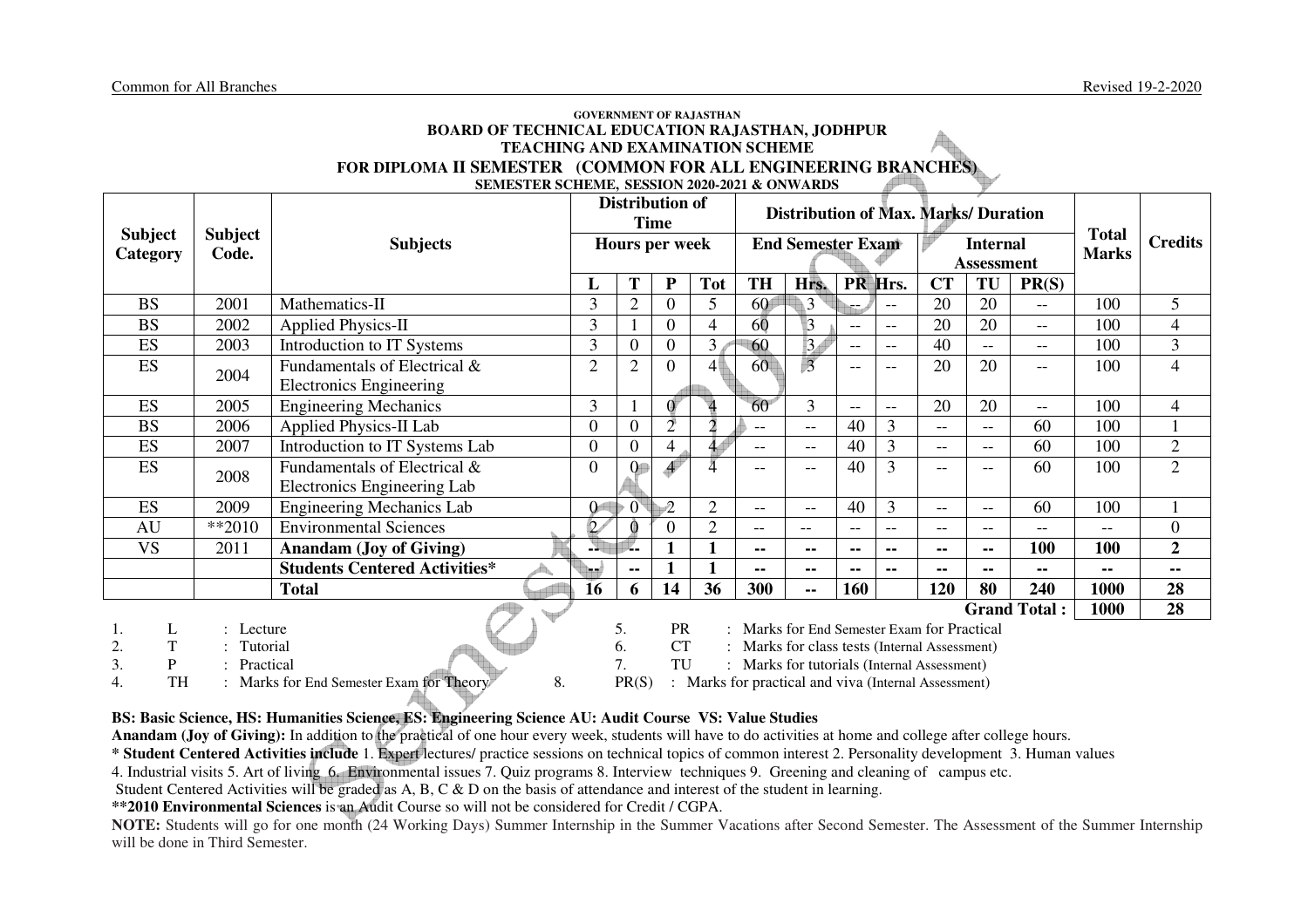#### **GOVERNMENT OF RAJASTHAN BOARD OF TECHNICAL EDUCATION RAJASTHAN, JODHPUR TEACHING AND EXAMINATION SCHEME FOR DIPLOMA II SEMESTER (COMMON FOR ALL ENGINEERING BRANCHES)SEMESTER SCHEME, SESSION 2020-2021 & ONWARDS**

|                                 |                       |                                                         |                |                | <b>Distribution of</b><br><b>Time</b> |                     |                                                                                              | <b>Distribution of Max. Marks/ Duration</b>          |           |                          |           |                                      |                     |                              |                  |
|---------------------------------|-----------------------|---------------------------------------------------------|----------------|----------------|---------------------------------------|---------------------|----------------------------------------------------------------------------------------------|------------------------------------------------------|-----------|--------------------------|-----------|--------------------------------------|---------------------|------------------------------|------------------|
| <b>Subject</b><br>Category      | Subject<br>Code.      | <b>Subjects</b>                                         |                |                | Hours per week                        |                     |                                                                                              | <b>End Semester Exam</b>                             |           |                          |           | <b>Internal</b><br><b>Assessment</b> |                     | <b>Total</b><br><b>Marks</b> | <b>Credits</b>   |
|                                 |                       |                                                         | L              | Т              | ${\bf P}$                             | <b>Tot</b>          | <b>TH</b>                                                                                    | Hrs.                                                 | <b>PR</b> | Hrs.                     | <b>CT</b> | TU                                   | PR(S)               |                              |                  |
| <b>BS</b>                       | 2001                  | Mathematics-II                                          | $\overline{3}$ | $\overline{2}$ | $\Omega$                              | 5                   | 60                                                                                           | 3                                                    |           | $\qquad \qquad -$        | 20        | 20                                   | $-$                 | 100                          | 5                |
| <b>BS</b>                       | 2002                  | <b>Applied Physics-II</b>                               | 3              |                | $\Omega$                              | 4                   | 60                                                                                           | $\overline{3}$                                       | $- -$     | $\overline{\phantom{a}}$ | 20        | 20                                   | $-$                 | 100                          | $\overline{4}$   |
| ES                              | 2003                  | Introduction to IT Systems                              | 3              | 0              | $\Omega$                              | 3                   | 60                                                                                           | $\vert 3 \rangle$                                    | $- -$     | $\overline{\phantom{a}}$ | 40        | $--$                                 | $-$                 | 100                          | $\overline{3}$   |
| ES                              | 2004                  | Fundamentals of Electrical &<br>Electronics Engineering | $\overline{2}$ | $\overline{2}$ | $\Omega$                              | 4                   | 60                                                                                           | $\overline{3}$                                       | $- -$     | $-$                      | 20        | 20                                   | $\qquad \qquad -$   | 100                          | $\overline{4}$   |
| ES                              | 2005                  | <b>Engineering Mechanics</b>                            | 3              |                | Ő.                                    | $\Delta$            | 60                                                                                           | 3                                                    | $- -$     | $\overline{a}$           | 20        | 20                                   | $- -$               | 100                          | $\overline{4}$   |
| <b>BS</b>                       | 2006                  | <b>Applied Physics-II Lab</b>                           | $\overline{0}$ | $\overline{0}$ | $\bar{2}$                             | $\bar{\mathcal{I}}$ | $-$                                                                                          | $\qquad \qquad -$                                    | 40        | 3                        | $- -$     | $- -$                                | 60                  | 100                          |                  |
| ES                              | 2007                  | Introduction to IT Systems Lab                          | $\overline{0}$ | 0              | $\overline{4}$                        | 44                  | $-$                                                                                          | $- -$                                                | 40        | 3                        | $- -$     | $\qquad \qquad -$                    | 60                  | 100                          | $\mathbf{2}$     |
| ES                              | 2008                  | Fundamentals of Electrical &                            | $\overline{0}$ |                |                                       |                     | $\overline{\phantom{m}}$                                                                     | --                                                   | 40        | 3                        | $-$       |                                      | 60                  | 100                          | $\overline{2}$   |
|                                 |                       | Electronics Engineering Lab                             |                |                |                                       |                     |                                                                                              |                                                      |           |                          |           |                                      |                     |                              |                  |
| ES                              | 2009                  | <b>Engineering Mechanics Lab</b>                        | $\Omega$       | $0^{\circ}$    | $\hat{2}$                             | $\overline{2}$      | $-$                                                                                          | $- -$                                                | 40        | 3                        | $- -$     | $\qquad \qquad -$                    | 60                  | 100                          |                  |
| AU                              | $**2010$              | <b>Environmental Sciences</b>                           | $\overline{2}$ |                | 0                                     | $\overline{2}$      | $- -$                                                                                        | $-$                                                  | $- -$     | $\qquad \qquad -$        | $- -$     | $\qquad \qquad -$                    | $-$                 | $- -$                        | $\boldsymbol{0}$ |
| <b>VS</b>                       | 2011                  | <b>Anandam (Joy of Giving)</b>                          |                |                |                                       |                     | --                                                                                           | --                                                   | ۰.        | $\sim$ $\sim$            | --        | $\sim$ $-$                           | 100                 | 100                          | $\boldsymbol{2}$ |
|                                 |                       | <b>Students Centered Activities*</b>                    |                | --             |                                       |                     | --                                                                                           | -−                                                   | --        | $\sim$ $\sim$            | --        | $\sim$ $-$                           | --                  | ۰.                           | $\blacksquare$   |
|                                 |                       | <b>Total</b>                                            | 16             | 6              | 14                                    | 36                  | 300                                                                                          | $\sim$ $\sim$                                        | 160       |                          | 120       | 80                                   | 240                 | 1000                         | 28               |
|                                 |                       |                                                         |                |                |                                       |                     |                                                                                              |                                                      |           |                          |           |                                      | <b>Grand Total:</b> | 1000                         | 28               |
| L                               | Lecture               |                                                         |                | 5.             | <b>PR</b>                             |                     | : Marks for End Semester Exam for Practical                                                  |                                                      |           |                          |           |                                      |                     |                              |                  |
|                                 |                       |                                                         |                |                |                                       |                     |                                                                                              |                                                      |           |                          |           |                                      |                     |                              |                  |
|                                 |                       |                                                         |                |                |                                       |                     |                                                                                              |                                                      |           |                          |           |                                      |                     |                              |                  |
| T<br>2.<br>3.<br>P<br><b>TH</b> | Tutorial<br>Practical | 8.<br>Marks for End Semester Exam for Theory            |                | 6.<br>PR(S)    | <b>CT</b><br>TU                       |                     | : Marks for class tests (Internal Assessment)<br>: Marks for tutorials (Internal Assessment) | : Marks for practical and viva (Internal Assessment) |           |                          |           |                                      |                     |                              |                  |

## **BS: Basic Science, HS: Humanities Science, ES: Engineering Science AU: Audit Course VS: Value Studies**

**Anandam (Joy of Giving):** In addition to the practical of one hour every week, students will have to do activities at home and college after college hours.

**\* Student Centered Activities include** 1. Expert lectures/ practice sessions on technical topics of common interest 2. Personality development 3. Human values

4. Industrial visits 5. Art of living 6. Environmental issues 7. Quiz programs 8. Interview techniques 9. Greening and cleaning of campus etc.

Student Centered Activities will be graded as A, B, C & D on the basis of attendance and interest of the student in learning.

**\*\*2010 Environmental Sciences** is an Audit Course so will not be considered for Credit / CGPA.

 **NOTE:** Students will go for one month (24 Working Days) Summer Internship in the Summer Vacations after Second Semester. The Assessment of the Summer Internship will be done in Third Semester.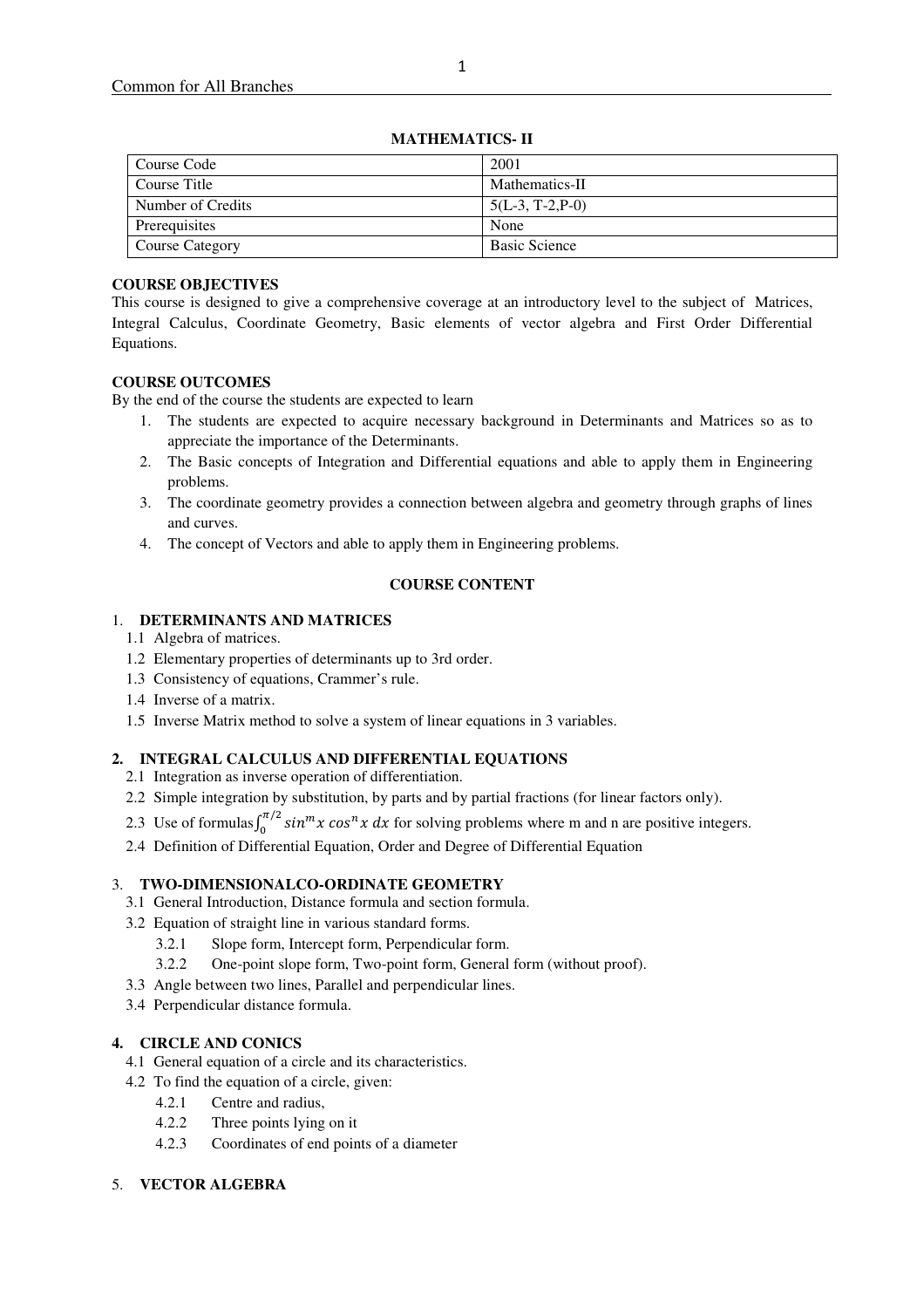**MATHEMATICS- II** 

## **COURSE OBJECTIVES**

This course is designed to give a comprehensive coverage at an introductory level to the subject of Matrices, Integral Calculus, Coordinate Geometry, Basic elements of vector algebra and First Order Differential Equations.

## **COURSE OUTCOMES**

By the end of the course the students are expected to learn

- 1. The students are expected to acquire necessary background in Determinants and Matrices so as to appreciate the importance of the Determinants.
- 2. The Basic concepts of Integration and Differential equations and able to apply them in Engineering problems.
- 3. The coordinate geometry provides a connection between algebra and geometry through graphs of lines and curves.
- 4. The concept of Vectors and able to apply them in Engineering problems.

## **COURSE CONTENT**

## 1. **DETERMINANTS AND MATRICES**

- 1.1 Algebra of matrices.
- 1.2 Elementary properties of determinants up to 3rd order.
- 1.3 Consistency of equations, Crammer's rule.
- 1.4 Inverse of a matrix.
- 1.5 Inverse Matrix method to solve a system of linear equations in 3 variables.

## **2. INTEGRAL CALCULUS AND DIFFERENTIAL EQUATIONS**

- 2.1 Integration as inverse operation of differentiation.
- 2.2 Simple integration by substitution, by parts and by partial fractions (for linear factors only).
- 2.3 Use of formulas  $\int_0^{\pi/2} \sin^m x \cos^n x \, dx$  for solving problems where m and n are positive integers.
- 2.4 Definition of Differential Equation, Order and Degree of Differential Equation

## 3. **TWO-DIMENSIONALCO-ORDINATE GEOMETRY**

- 3.1 General Introduction, Distance formula and section formula.
- 3.2 Equation of straight line in various standard forms.
	- 3.2.1 Slope form, Intercept form, Perpendicular form.
	- 3.2.2 One-point slope form, Two-point form, General form (without proof).
- 3.3 Angle between two lines, Parallel and perpendicular lines.
- 3.4 Perpendicular distance formula.

## **4. CIRCLE AND CONICS**

- 4.1 General equation of a circle and its characteristics.
- 4.2 To find the equation of a circle, given:
	- 4.2.1 Centre and radius,
	- 4.2.2 Three points lying on it
	- 4.2.3 Coordinates of end points of a diameter

## 5. **VECTOR ALGEBRA**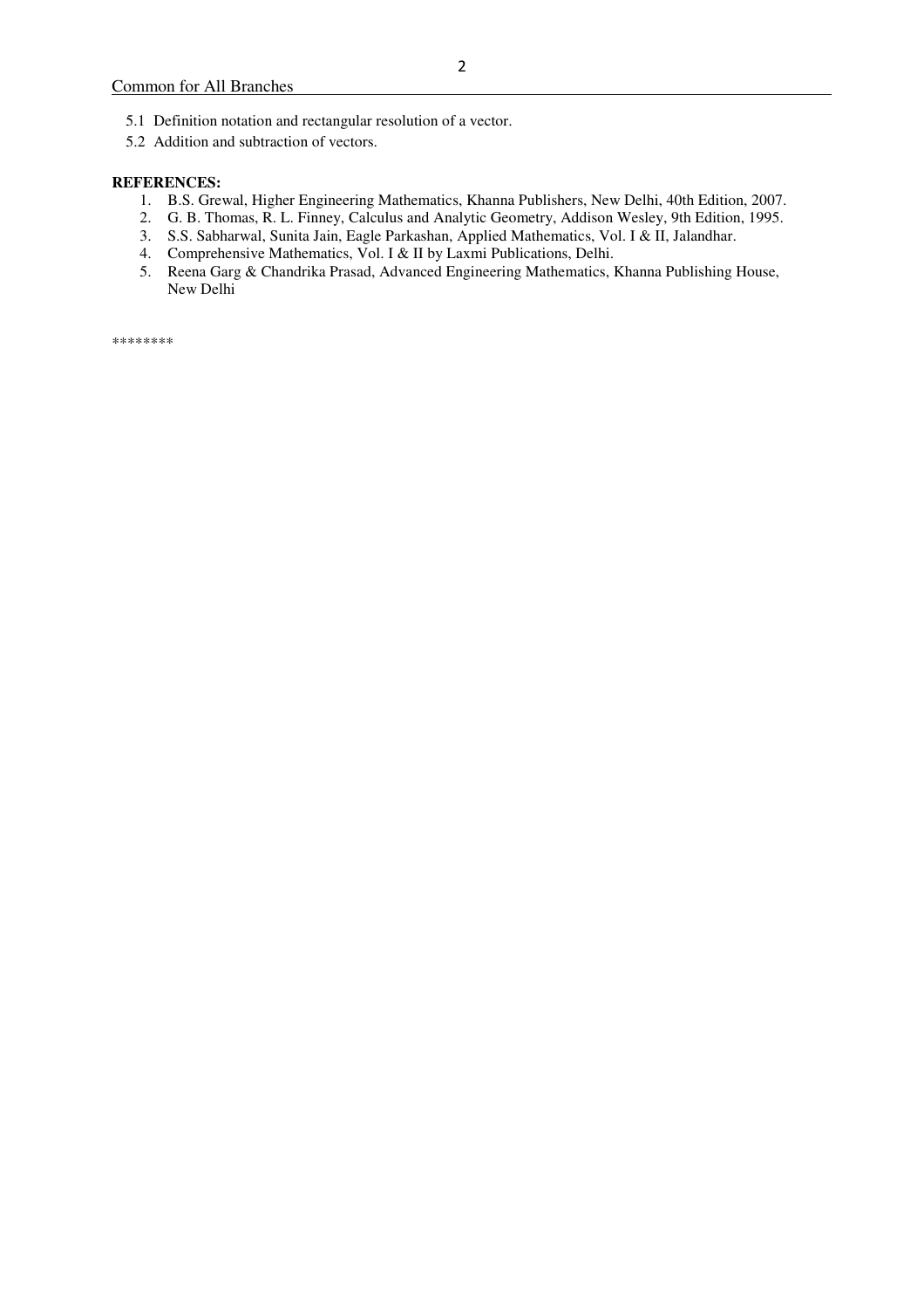- 5.1 Definition notation and rectangular resolution of a vector.
- 5.2 Addition and subtraction of vectors.

#### **REFERENCES:**

- 1. B.S. Grewal, Higher Engineering Mathematics, Khanna Publishers, New Delhi, 40th Edition, 2007.
- 2. G. B. Thomas, R. L. Finney, Calculus and Analytic Geometry, Addison Wesley, 9th Edition, 1995.
- 3. S.S. Sabharwal, Sunita Jain, Eagle Parkashan, Applied Mathematics, Vol. I & II, Jalandhar.
- 4. Comprehensive Mathematics, Vol. I & II by Laxmi Publications, Delhi.
- 5. Reena Garg & Chandrika Prasad, Advanced Engineering Mathematics, Khanna Publishing House, New Delhi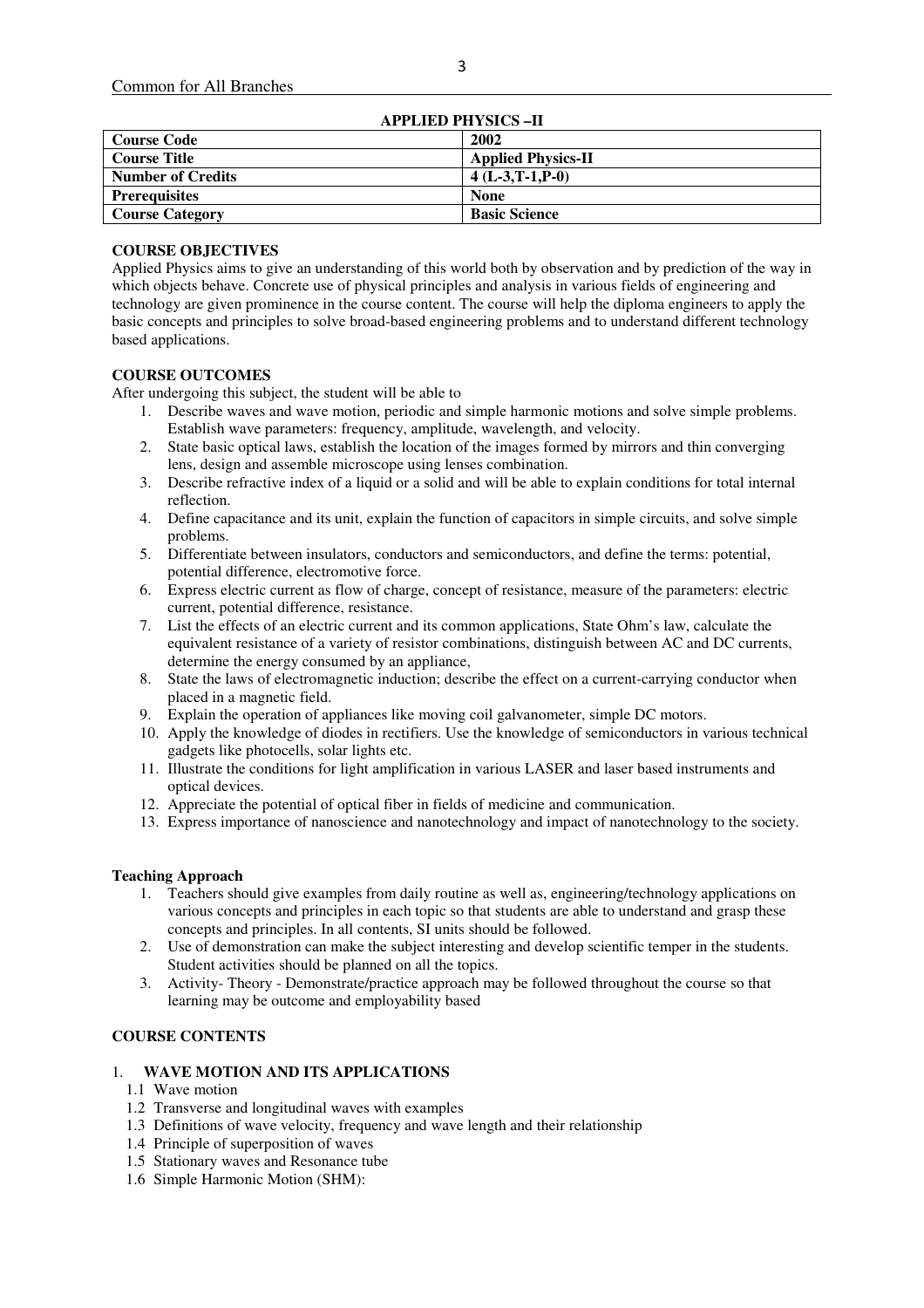| <b>APPLIED PHYSICS-II</b> |                           |  |  |  |
|---------------------------|---------------------------|--|--|--|
| <b>Course Code</b>        | 2002                      |  |  |  |
| <b>Course Title</b>       | <b>Applied Physics-II</b> |  |  |  |
| <b>Number of Credits</b>  | $4(L-3,T-1,P-0)$          |  |  |  |
| <b>Prerequisites</b>      | <b>None</b>               |  |  |  |
| <b>Course Category</b>    | <b>Basic Science</b>      |  |  |  |

#### **COURSE OBJECTIVES**

Applied Physics aims to give an understanding of this world both by observation and by prediction of the way in which objects behave. Concrete use of physical principles and analysis in various fields of engineering and technology are given prominence in the course content. The course will help the diploma engineers to apply the basic concepts and principles to solve broad-based engineering problems and to understand different technology based applications.

## **COURSE OUTCOMES**

After undergoing this subject, the student will be able to

- 1. Describe waves and wave motion, periodic and simple harmonic motions and solve simple problems. Establish wave parameters: frequency, amplitude, wavelength, and velocity.
- 2. State basic optical laws, establish the location of the images formed by mirrors and thin converging lens, design and assemble microscope using lenses combination.
- 3. Describe refractive index of a liquid or a solid and will be able to explain conditions for total internal reflection.
- 4. Define capacitance and its unit, explain the function of capacitors in simple circuits, and solve simple problems.
- 5. Differentiate between insulators, conductors and semiconductors, and define the terms: potential, potential difference, electromotive force.
- 6. Express electric current as flow of charge, concept of resistance, measure of the parameters: electric current, potential difference, resistance.
- 7. List the effects of an electric current and its common applications, State Ohm's law, calculate the equivalent resistance of a variety of resistor combinations, distinguish between AC and DC currents, determine the energy consumed by an appliance,
- 8. State the laws of electromagnetic induction; describe the effect on a current-carrying conductor when placed in a magnetic field.
- 9. Explain the operation of appliances like moving coil galvanometer, simple DC motors.
- 10. Apply the knowledge of diodes in rectifiers. Use the knowledge of semiconductors in various technical gadgets like photocells, solar lights etc.
- 11. Illustrate the conditions for light amplification in various LASER and laser based instruments and optical devices.
- 12. Appreciate the potential of optical fiber in fields of medicine and communication.
- 13. Express importance of nanoscience and nanotechnology and impact of nanotechnology to the society.

#### **Teaching Approach**

- 1. Teachers should give examples from daily routine as well as, engineering/technology applications on various concepts and principles in each topic so that students are able to understand and grasp these concepts and principles. In all contents, SI units should be followed.
- 2. Use of demonstration can make the subject interesting and develop scientific temper in the students. Student activities should be planned on all the topics.
- 3. Activity- Theory Demonstrate/practice approach may be followed throughout the course so that learning may be outcome and employability based

## **COURSE CONTENTS**

#### 1. **WAVE MOTION AND ITS APPLICATIONS**

- 1.1 Wave motion
- 1.2 Transverse and longitudinal waves with examples
- 1.3 Definitions of wave velocity, frequency and wave length and their relationship
- 1.4 Principle of superposition of waves
- 1.5 Stationary waves and Resonance tube
- 1.6 Simple Harmonic Motion (SHM):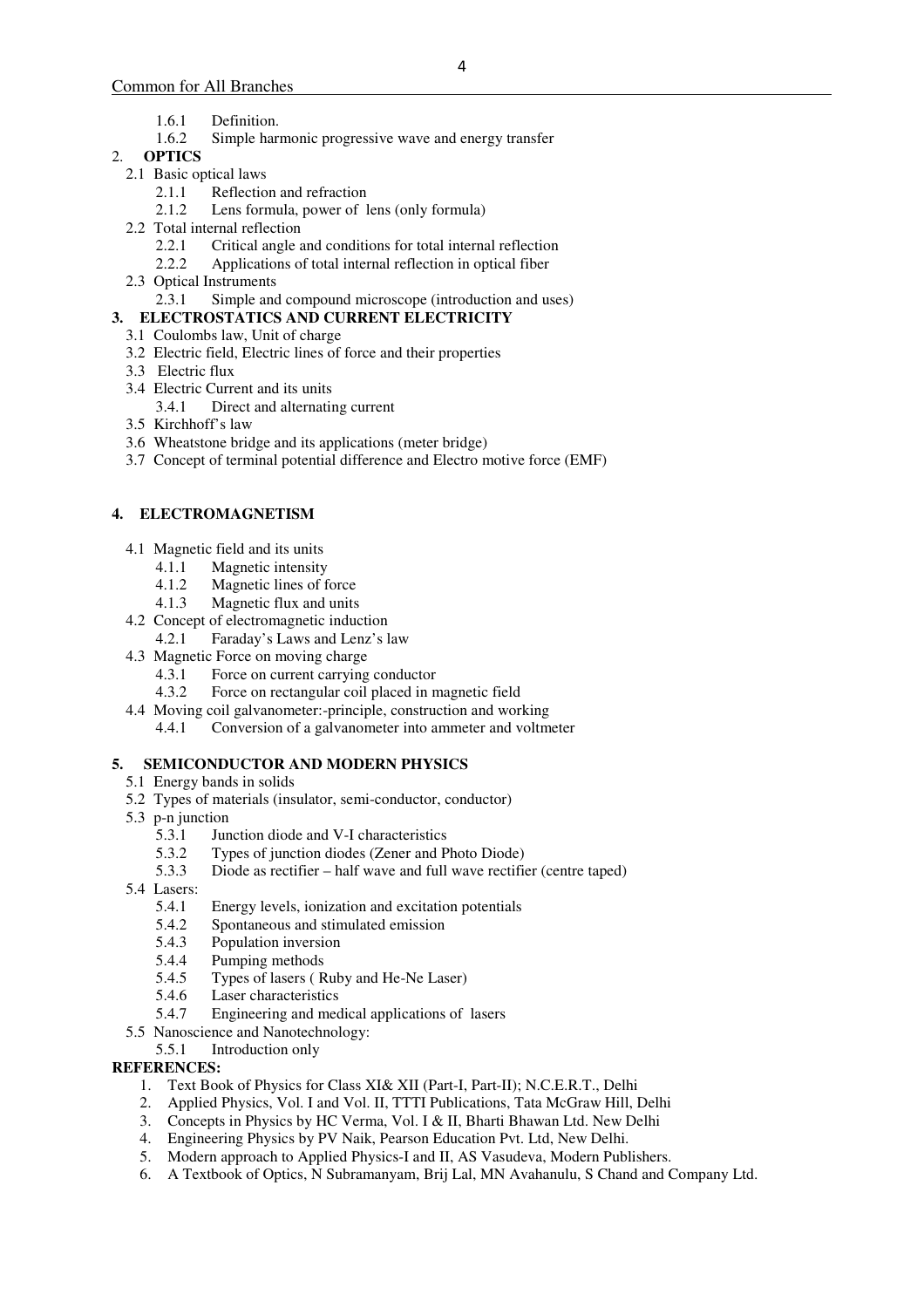- 1.6.1 Definition.
- 1.6.2 Simple harmonic progressive wave and energy transfer

## 2. **OPTICS**

- 2.1 Basic optical laws
	- 2.1.1 Reflection and refraction
	- 2.1.2 Lens formula, power of lens (only formula)
- 2.2 Total internal reflection<br>2.2.1 Critical angle a
	- 2.2.1 Critical angle and conditions for total internal reflection
	- 2.2.2 Applications of total internal reflection in optical fiber
- 2.3 Optical Instruments
	- 2.3.1 Simple and compound microscope (introduction and uses)

## **3. ELECTROSTATICS AND CURRENT ELECTRICITY**

- 3.1 Coulombs law, Unit of charge
- 3.2 Electric field, Electric lines of force and their properties
- 3.3 Electric flux
- 3.4 Electric Current and its units
	- 3.4.1 Direct and alternating current
- 3.5 Kirchhoff's law
- 3.6 Wheatstone bridge and its applications (meter bridge)
- 3.7 Concept of terminal potential difference and Electro motive force (EMF)

## **4. ELECTROMAGNETISM**

- 4.1 Magnetic field and its units
	- 4.1.1 Magnetic intensity
	- 4.1.2 Magnetic lines of force
	- 4.1.3 Magnetic flux and units
- 4.2 Concept of electromagnetic induction
	- 4.2.1 Faraday's Laws and Lenz's law
- 4.3 Magnetic Force on moving charge
	- 4.3.1 Force on current carrying conductor
	- 4.3.2 Force on rectangular coil placed in magnetic field
- 4.4 Moving coil galvanometer:-principle, construction and working 4.4.1 Conversion of a galvanometer into ammeter and voltmeter

## **5. SEMICONDUCTOR AND MODERN PHYSICS**

- 5.1 Energy bands in solids
- 5.2 Types of materials (insulator, semi-conductor, conductor)
- 5.3 p-n junction
	- 5.3.1 Junction diode and V-I characteristics
	- 5.3.2 Types of junction diodes (Zener and Photo Diode)
	- 5.3.3 Diode as rectifier half wave and full wave rectifier (centre taped)
- 5.4 Lasers:
	- 5.4.1 Energy levels, ionization and excitation potentials
	- 5.4.2 Spontaneous and stimulated emission
	- 5.4.3 Population inversion
	- 5.4.4 Pumping methods<br>5.4.5 Types of lasers (R
	- 5.4.5 Types of lasers (Ruby and He-Ne Laser)<br>5.4.6 Laser characteristics
	- Laser characteristics
	- 5.4.7 Engineering and medical applications of lasers
- 5.5 Nanoscience and Nanotechnology:
	- 5.5.1 Introduction only

## **REFERENCES:**

- 1. Text Book of Physics for Class XI& XII (Part-I, Part-II); N.C.E.R.T., Delhi
- 2. Applied Physics, Vol. I and Vol. II, TTTI Publications, Tata McGraw Hill, Delhi
- 3. Concepts in Physics by HC Verma, Vol. I & II, Bharti Bhawan Ltd. New Delhi
- 4. Engineering Physics by PV Naik, Pearson Education Pvt. Ltd, New Delhi.
- 5. Modern approach to Applied Physics-I and II, AS Vasudeva, Modern Publishers.
- 6. A Textbook of Optics, N Subramanyam, Brij Lal, MN Avahanulu, S Chand and Company Ltd.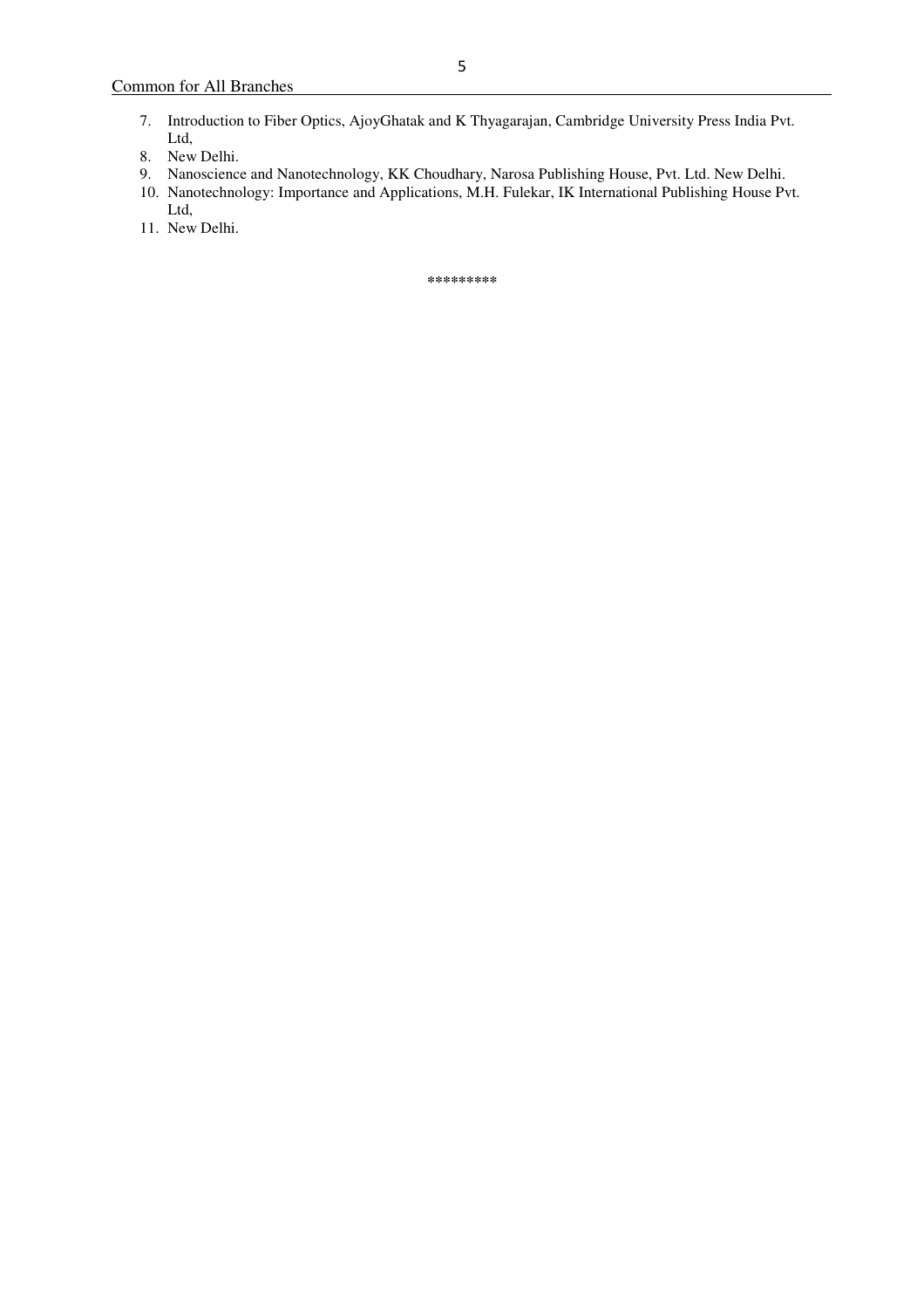- 7. Introduction to Fiber Optics, AjoyGhatak and K Thyagarajan, Cambridge University Press India Pvt. Ltd,
- 8. New Delhi.
- 9. Nanoscience and Nanotechnology, KK Choudhary, Narosa Publishing House, Pvt. Ltd. New Delhi.
- 10. Nanotechnology: Importance and Applications, M.H. Fulekar, IK International Publishing House Pvt.
- Ltd, 11. New Delhi.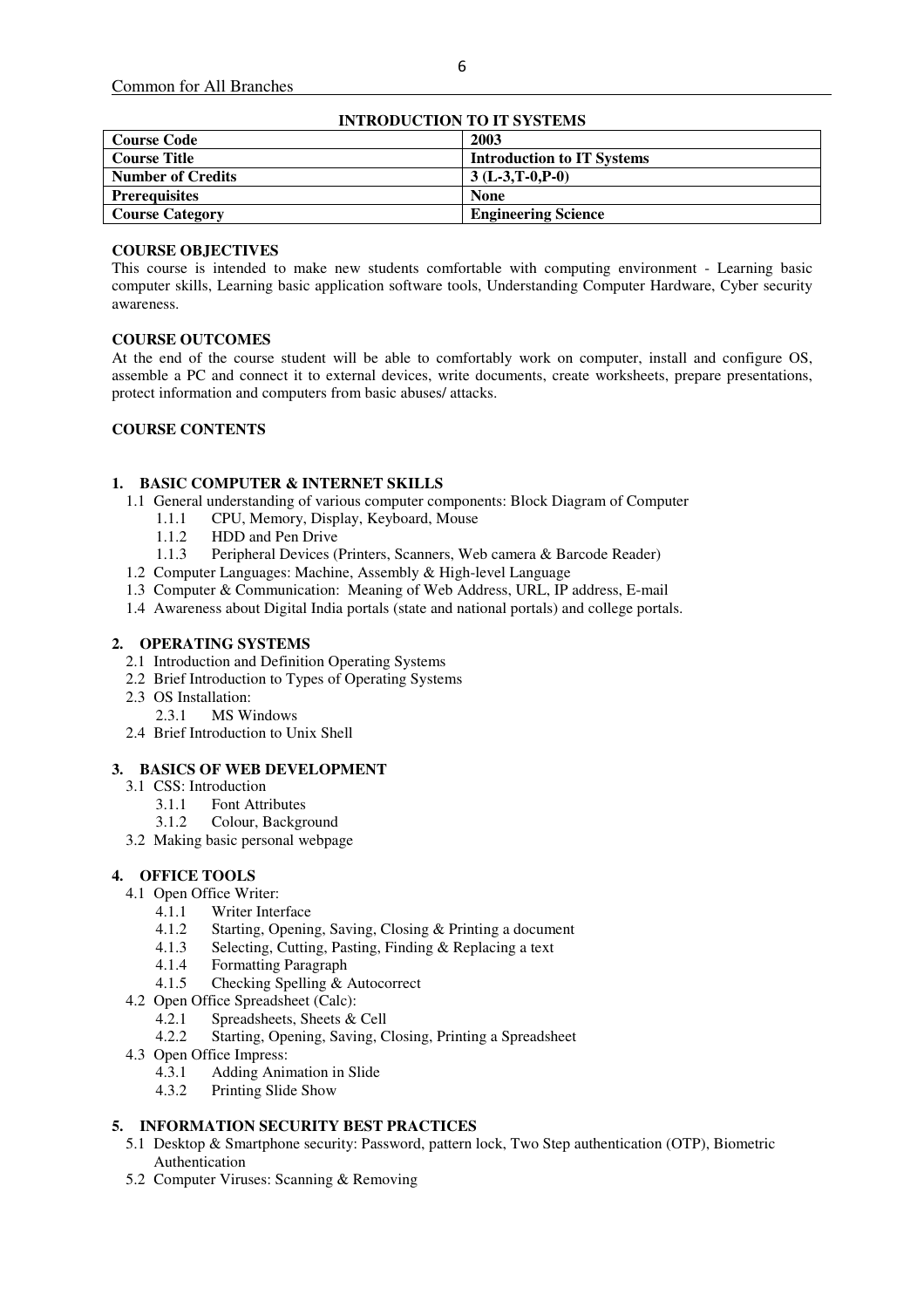| INTRODUCTION TO IT SYSTEMS |                                   |  |  |  |  |
|----------------------------|-----------------------------------|--|--|--|--|
| <b>Course Code</b>         | 2003                              |  |  |  |  |
| <b>Course Title</b>        | <b>Introduction to IT Systems</b> |  |  |  |  |
| <b>Number of Credits</b>   | $3(L-3,T-0,P-0)$                  |  |  |  |  |
| <b>Prerequisites</b>       | <b>None</b>                       |  |  |  |  |
| <b>Course Category</b>     | <b>Engineering Science</b>        |  |  |  |  |

# **INTRODUCTION TO IT SYSTEMS**

## **COURSE OBJECTIVES**

This course is intended to make new students comfortable with computing environment - Learning basic computer skills, Learning basic application software tools, Understanding Computer Hardware, Cyber security awareness.

## **COURSE OUTCOMES**

At the end of the course student will be able to comfortably work on computer, install and configure OS, assemble a PC and connect it to external devices, write documents, create worksheets, prepare presentations, protect information and computers from basic abuses/ attacks.

## **COURSE CONTENTS**

## **1. BASIC COMPUTER & INTERNET SKILLS**

- 1.1 General understanding of various computer components: Block Diagram of Computer
	- 1.1.1 CPU, Memory, Display, Keyboard, Mouse
	- 1.1.2 HDD and Pen Drive
	- 1.1.3 Peripheral Devices (Printers, Scanners, Web camera & Barcode Reader)
- 1.2 Computer Languages: Machine, Assembly & High-level Language
- 1.3 Computer & Communication: Meaning of Web Address, URL, IP address, E-mail
- 1.4 Awareness about Digital India portals (state and national portals) and college portals.

#### **2. OPERATING SYSTEMS**

- 2.1 Introduction and Definition Operating Systems
- 2.2 Brief Introduction to Types of Operating Systems
- 2.3 OS Installation:
	- 2.3.1 MS Windows
- 2.4 Brief Introduction to Unix Shell

#### **3. BASICS OF WEB DEVELOPMENT**

- 3.1 CSS: Introduction
	- 3.1.1 Font Attributes
	- 3.1.2 Colour, Background
- 3.2 Making basic personal webpage

## **4. OFFICE TOOLS**

- 4.1 Open Office Writer:
	- 4.1.1 Writer Interface<br>4.1.2 Starting Openin
	- Starting, Opening, Saving, Closing & Printing a document
	- 4.1.3 Selecting, Cutting, Pasting, Finding & Replacing a text<br>4.1.4 Formatting Paragraph
	- 4.1.4 Formatting Paragraph<br>4.1.5 Checking Spelling &
	- Checking Spelling & Autocorrect
- 4.2 Open Office Spreadsheet (Calc):
	- 4.2.1 Spreadsheets, Sheets & Cell
	- 4.2.2 Starting, Opening, Saving, Closing, Printing a Spreadsheet
- 4.3 Open Office Impress:
	- 4.3.1 Adding Animation in Slide
	- 4.3.2 Printing Slide Show

## **5. INFORMATION SECURITY BEST PRACTICES**

- 5.1 Desktop & Smartphone security: Password, pattern lock, Two Step authentication (OTP), Biometric Authentication
- 5.2 Computer Viruses: Scanning & Removing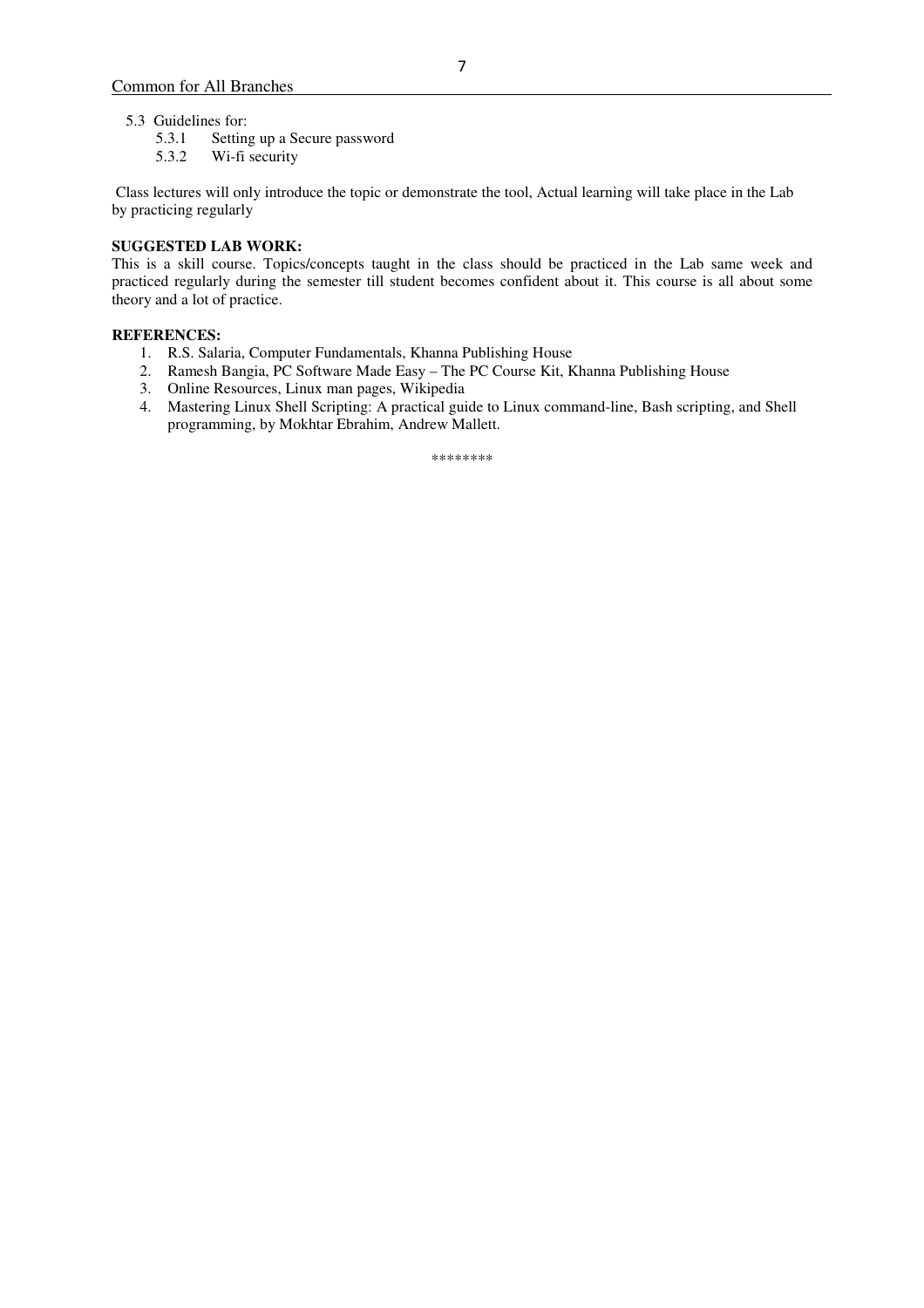- 5.3 Guidelines for:
	- 5.3.1 Setting up a Secure password
	- 5.3.2 Wi-fi security

 Class lectures will only introduce the topic or demonstrate the tool, Actual learning will take place in the Lab by practicing regularly

## **SUGGESTED LAB WORK:**

This is a skill course. Topics/concepts taught in the class should be practiced in the Lab same week and practiced regularly during the semester till student becomes confident about it. This course is all about some theory and a lot of practice.

## **REFERENCES:**

- 1. R.S. Salaria, Computer Fundamentals, Khanna Publishing House
- 2. Ramesh Bangia, PC Software Made Easy The PC Course Kit, Khanna Publishing House
- 3. Online Resources, Linux man pages, Wikipedia
- 4. Mastering Linux Shell Scripting: A practical guide to Linux command-line, Bash scripting, and Shell programming, by Mokhtar Ebrahim, Andrew Mallett.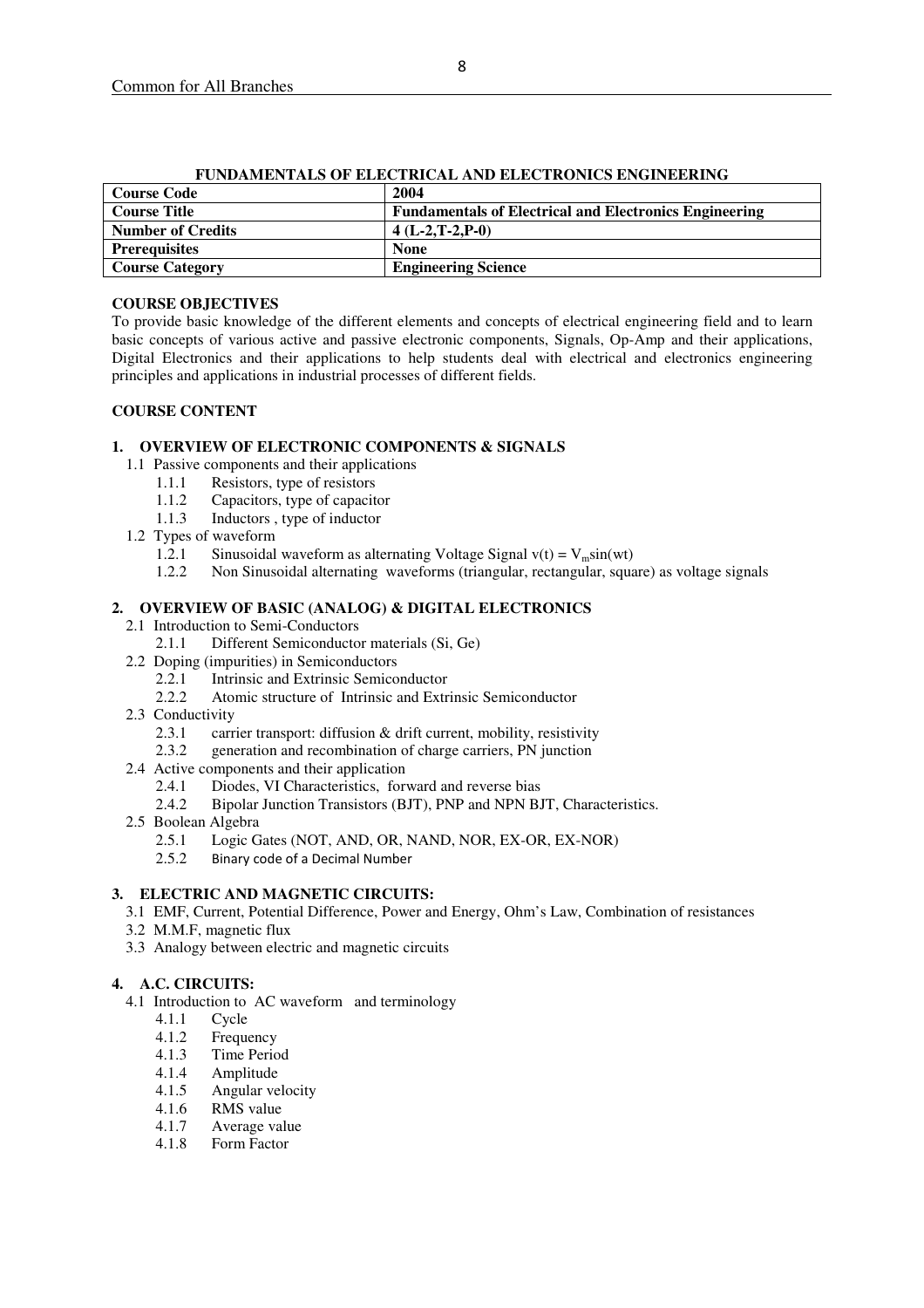| FUNDAMENTALS OF ELECTRICAL AND ELECTRONICS ENGINEERING |                                                               |  |  |  |
|--------------------------------------------------------|---------------------------------------------------------------|--|--|--|
| <b>Course Code</b>                                     | 2004                                                          |  |  |  |
| <b>Course Title</b>                                    | <b>Fundamentals of Electrical and Electronics Engineering</b> |  |  |  |
| <b>Number of Credits</b>                               | $4(L-2,T-2,P-0)$                                              |  |  |  |
| <b>Prerequisites</b>                                   | <b>None</b>                                                   |  |  |  |
| <b>Course Category</b>                                 | <b>Engineering Science</b>                                    |  |  |  |

#### **FUNDAMENTALS OF ELECTRICAL AND ELECTRONICS ENGINEERING**

## **COURSE OBJECTIVES**

To provide basic knowledge of the different elements and concepts of electrical engineering field and to learn basic concepts of various active and passive electronic components, Signals, Op-Amp and their applications, Digital Electronics and their applications to help students deal with electrical and electronics engineering principles and applications in industrial processes of different fields.

## **COURSE CONTENT**

## **1. OVERVIEW OF ELECTRONIC COMPONENTS & SIGNALS**

- 1.1 Passive components and their applications
	-
	- 1.1.1 Resistors, type of resistors<br>1.1.2 Capacitors, type of capacit Capacitors, type of capacitor
	- 1.1.3 Inductors , type of inductor
- 1.2 Types of waveform
	- 1.2.1 Sinusoidal waveform as alternating Voltage Signal v(t) =  $V_m$ sin(wt) 1.2.2 Non Sinusoidal alternating waveforms (triangular, rectangular, squa
	- 1.2.2 Non Sinusoidal alternating waveforms (triangular, rectangular, square) as voltage signals

#### **2. OVERVIEW OF BASIC (ANALOG) & DIGITAL ELECTRONICS**

- 2.1 Introduction to Semi-Conductors
	- 2.1.1 Different Semiconductor materials (Si, Ge)
- 2.2 Doping (impurities) in Semiconductors
	- 2.2.1 Intrinsic and Extrinsic Semiconductor
	- 2.2.2 Atomic structure of Intrinsic and Extrinsic Semiconductor
- 2.3 Conductivity
	- 2.3.1 carrier transport: diffusion & drift current, mobility, resistivity
	- 2.3.2 generation and recombination of charge carriers, PN junction
- 2.4 Active components and their application
	- 2.4.1 Diodes, VI Characteristics, forward and reverse bias
	- 2.4.2 Bipolar Junction Transistors (BJT), PNP and NPN BJT, Characteristics.
- 2.5 Boolean Algebra<br>2.5.1 Logic G
	- Logic Gates (NOT, AND, OR, NAND, NOR, EX-OR, EX-NOR)
	- 2.5.2 Binary code of a Decimal Number

## **3. ELECTRIC AND MAGNETIC CIRCUITS:**

- 3.1 EMF, Current, Potential Difference, Power and Energy, Ohm's Law, Combination of resistances
- 3.2 M.M.F, magnetic flux
- 3.3 Analogy between electric and magnetic circuits

## **4. A.C. CIRCUITS:**

- 4.1 Introduction to AC waveform and terminology
	- 4.1.1 Cycle
	- 4.1.2 Frequency
	- 4.1.3 Time Period
	- 4.1.4 Amplitude
	- 4.1.5 Angular velocity
	- 4.1.6 RMS value
	- 4.1.7 Average value
	- 4.1.8 Form Factor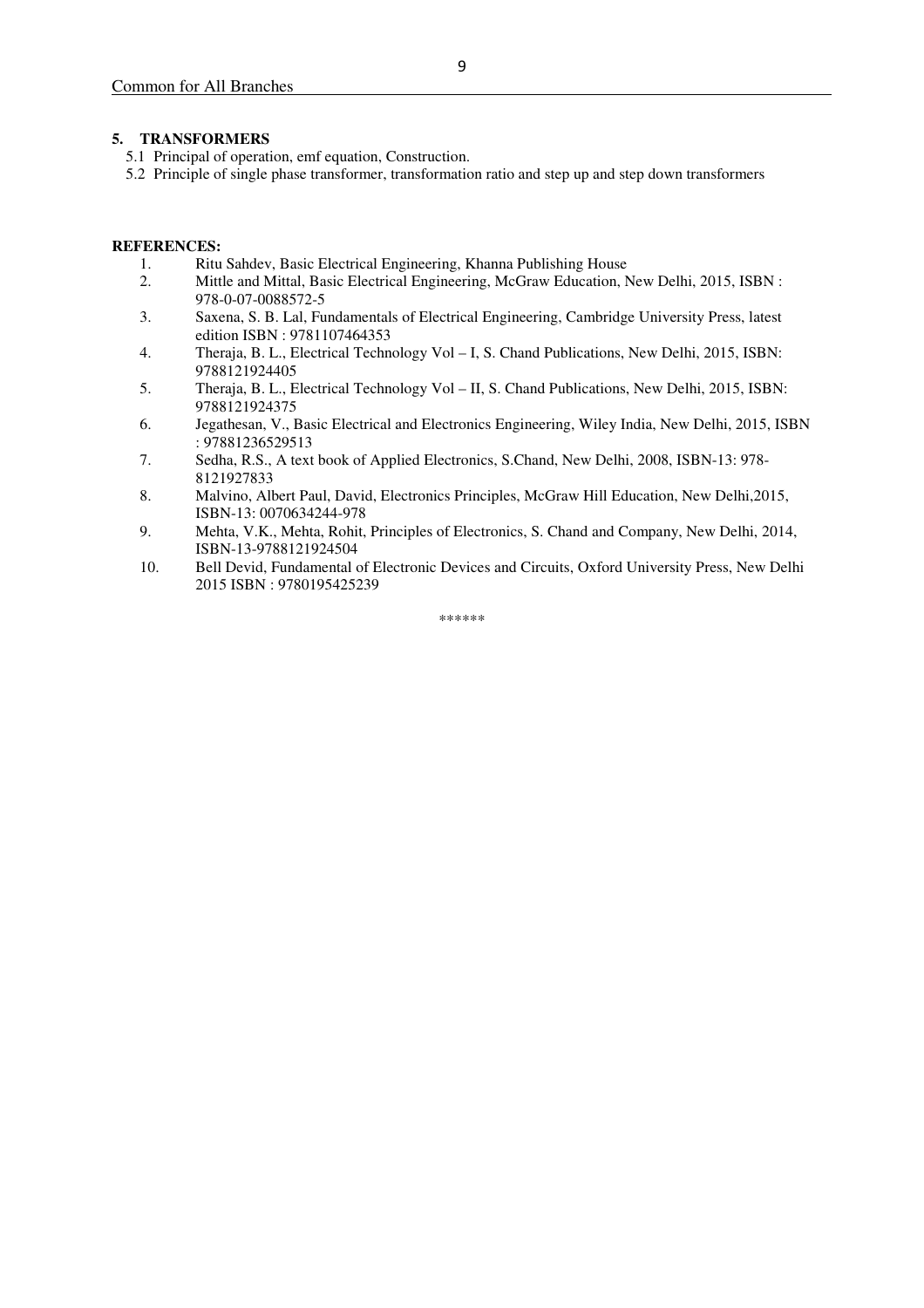#### **5. TRANSFORMERS**

- 5.1 Principal of operation, emf equation, Construction.
- 5.2 Principle of single phase transformer, transformation ratio and step up and step down transformers

#### **REFERENCES:**

- 1. Ritu Sahdev, Basic Electrical Engineering, Khanna Publishing House<br>2. Mittle and Mittal, Basic Electrical Engineering, McGraw Education, N
- 2. Mittle and Mittal, Basic Electrical Engineering, McGraw Education, New Delhi, 2015, ISBN : 978-0-07-0088572-5
- 3. Saxena, S. B. Lal, Fundamentals of Electrical Engineering, Cambridge University Press, latest edition ISBN : 9781107464353
- 4. Theraja, B. L., Electrical Technology Vol I, S. Chand Publications, New Delhi, 2015, ISBN: 9788121924405
- 5. Theraja, B. L., Electrical Technology Vol II, S. Chand Publications, New Delhi, 2015, ISBN: 9788121924375
- 6. Jegathesan, V., Basic Electrical and Electronics Engineering, Wiley India, New Delhi, 2015, ISBN : 97881236529513
- 7. Sedha, R.S., A text book of Applied Electronics, S.Chand, New Delhi, 2008, ISBN-13: 978- 8121927833
- 8. Malvino, Albert Paul, David, Electronics Principles, McGraw Hill Education, New Delhi,2015, ISBN-13: 0070634244-978
- 9. Mehta, V.K., Mehta, Rohit, Principles of Electronics, S. Chand and Company, New Delhi, 2014, ISBN-13-9788121924504
- 10. Bell Devid, Fundamental of Electronic Devices and Circuits, Oxford University Press, New Delhi 2015 ISBN : 9780195425239

\*\*\*\*\*\*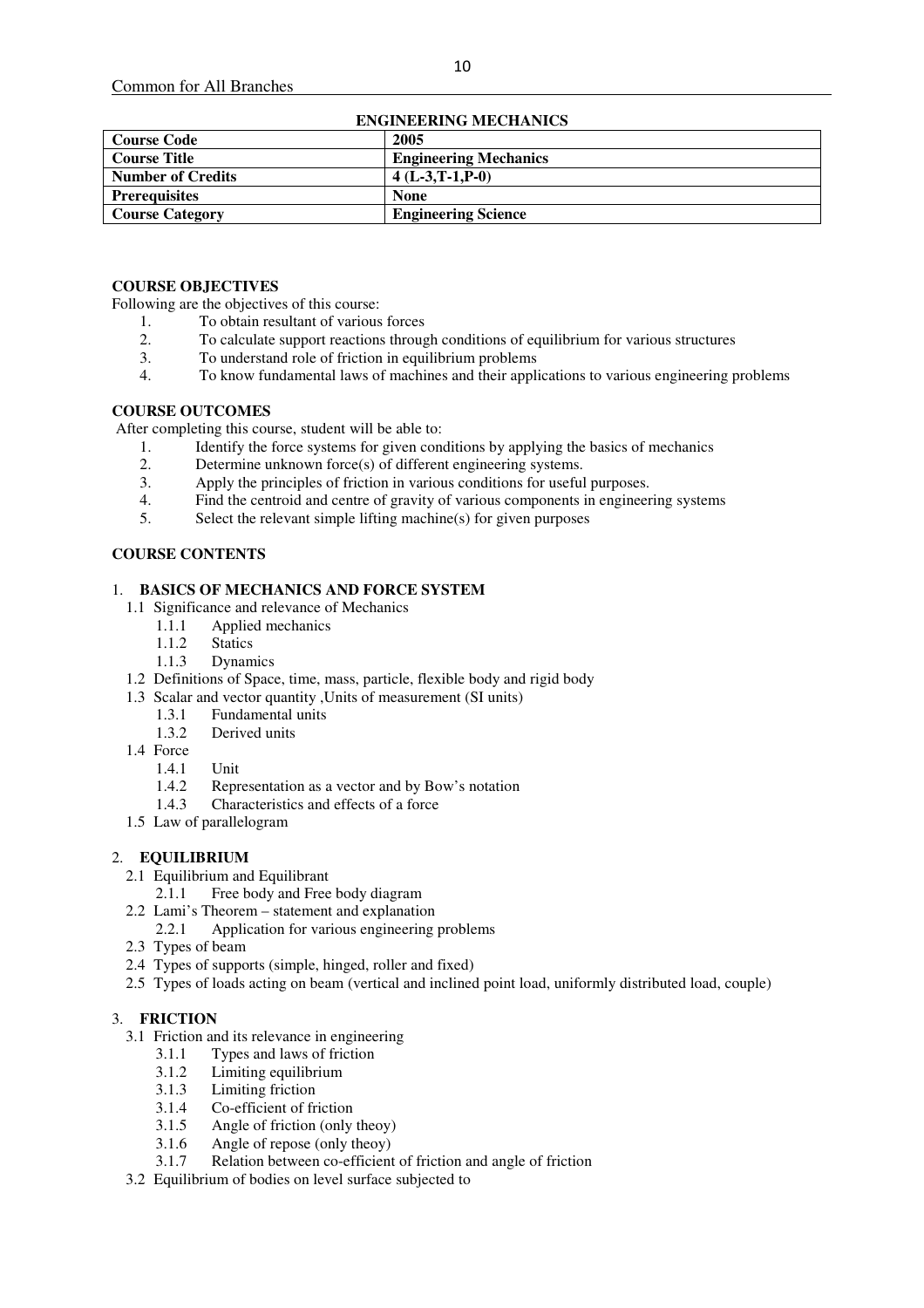| ENGINEERING MECHANICS    |                              |  |  |
|--------------------------|------------------------------|--|--|
| <b>Course Code</b>       | 2005                         |  |  |
| <b>Course Title</b>      | <b>Engineering Mechanics</b> |  |  |
| <b>Number of Credits</b> | $4(L-3,T-1,P-0)$             |  |  |
| <b>Prerequisites</b>     | <b>None</b>                  |  |  |
| <b>Course Category</b>   | <b>Engineering Science</b>   |  |  |

## **ENGINEERING MECHANICS**

## **COURSE OBJECTIVES**

Following are the objectives of this course:

- 1. To obtain resultant of various forces
- 2. To calculate support reactions through conditions of equilibrium for various structures<br>3. To understand role of friction in equilibrium problems
- 3. To understand role of friction in equilibrium problems
- 4. To know fundamental laws of machines and their applications to various engineering problems

#### **COURSE OUTCOMES**

After completing this course, student will be able to:

- 1. Identify the force systems for given conditions by applying the basics of mechanics<br>2. Determine unknown force(s) of different engineering systems.
- Determine unknown force(s) of different engineering systems.
- 3. Apply the principles of friction in various conditions for useful purposes.
- 4. Find the centroid and centre of gravity of various components in engineering systems 5. Select the relevant simple lifting machine(s) for given purposes
- Select the relevant simple lifting machine(s) for given purposes

#### **COURSE CONTENTS**

#### 1. **BASICS OF MECHANICS AND FORCE SYSTEM**

- 1.1 Significance and relevance of Mechanics<br>1.1.1 Applied mechanics
	- 1.1.1 Applied mechanics<br>1.1.2 Statics
		- **Statics**
	- 1.1.3 Dynamics
- 1.2 Definitions of Space, time, mass, particle, flexible body and rigid body
- 1.3 Scalar and vector quantity ,Units of measurement (SI units)
	- 1.3.1 Fundamental units
	- 1.3.2 Derived units
- 1.4 Force
	- 1.4.1 Unit
	- 1.4.2 Representation as a vector and by Bow's notation
	- 1.4.3 Characteristics and effects of a force
- 1.5 Law of parallelogram

## 2. **EQUILIBRIUM**

- 2.1 Equilibrium and Equilibrant
	- 2.1.1 Free body and Free body diagram
- 2.2 Lami's Theorem statement and explanation
	- 2.2.1 Application for various engineering problems
- 2.3 Types of beam
- 2.4 Types of supports (simple, hinged, roller and fixed)
- 2.5 Types of loads acting on beam (vertical and inclined point load, uniformly distributed load, couple)

## 3. **FRICTION**

- 3.1 Friction and its relevance in engineering
	- 3.1.1 Types and laws of friction
	- 3.1.2 Limiting equilibrium
	- 3.1.3 Limiting friction
	- 3.1.4 Co-efficient of friction
	- 3.1.5 Angle of friction (only theoy)
	- 3.1.6 Angle of repose (only theoy)
	- 3.1.7 Relation between co-efficient of friction and angle of friction
- 3.2 Equilibrium of bodies on level surface subjected to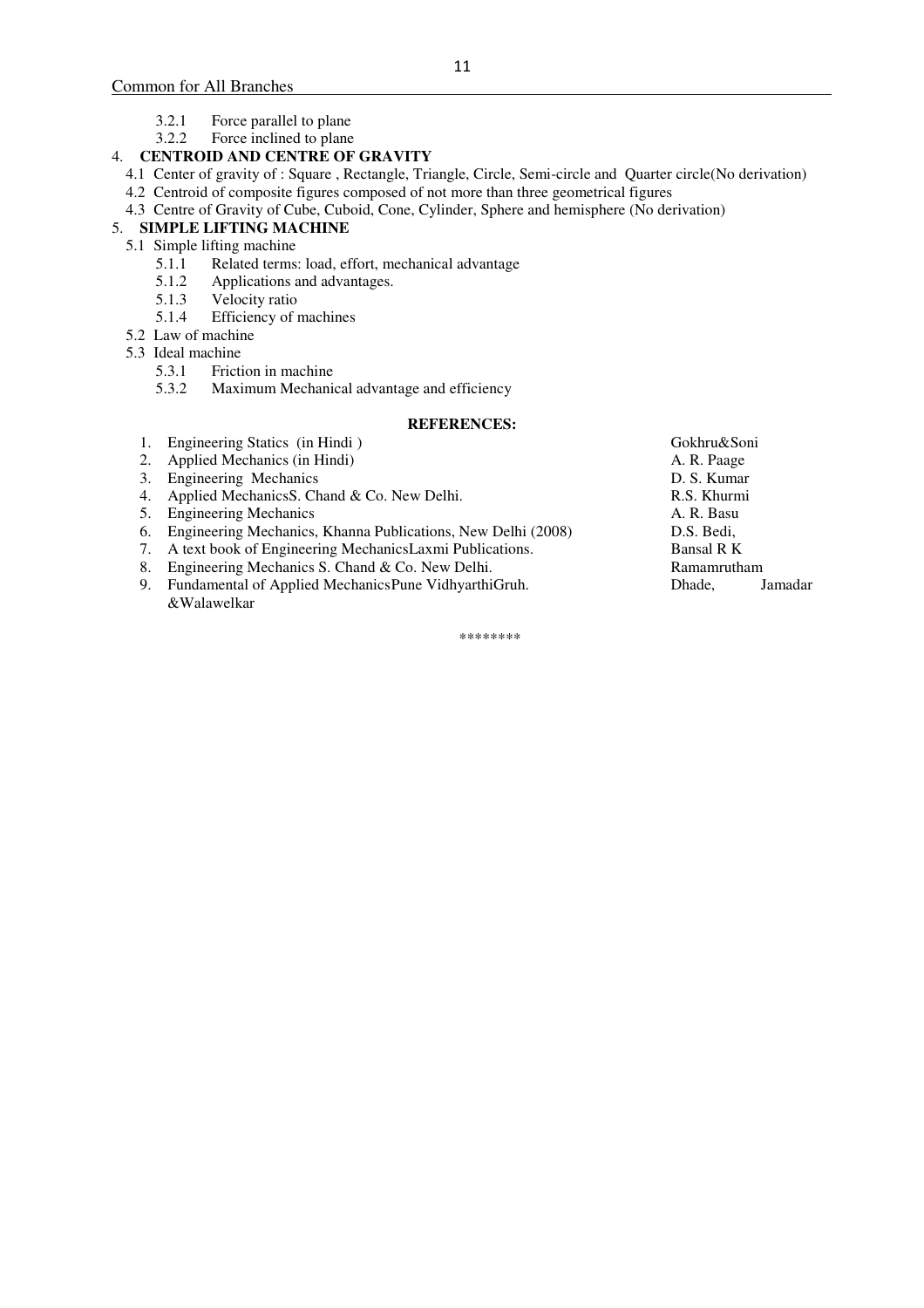- 3.2.1 Force parallel to plane
- 3.2.2 Force inclined to plane

## 4. **CENTROID AND CENTRE OF GRAVITY**

- 4.1 Center of gravity of : Square , Rectangle, Triangle, Circle, Semi-circle and Quarter circle(No derivation)
- 4.2 Centroid of composite figures composed of not more than three geometrical figures
- 4.3 Centre of Gravity of Cube, Cuboid, Cone, Cylinder, Sphere and hemisphere (No derivation)

## 5. **SIMPLE LIFTING MACHINE**

- 5.1 Simple lifting machine
	- 5.1.1 Related terms: load, effort, mechanical advantage 5.1.2 Applications and advantages.
	- 5.1.2 Applications and advantages.<br>5.1.3 Velocity ratio
	- 5.1.3 Velocity ratio<br>5.1.4 Efficiency of 1
	- Efficiency of machines
- 5.2 Law of machine
- 5.3 Ideal machine
	- 5.3.1 Friction in machine<br>5.3.2 Maximum Mechanic
	- Maximum Mechanical advantage and efficiency

#### **REFERENCES:**

- 1. Engineering Statics (in Hindi) Gokhru&Soni<br>
2. Applied Mechanics (in Hindi) A. R. Paage
- 2. Applied Mechanics (in Hindi)
- 
- 3. Engineering Mechanics<br>
4. Applied Mechanics D. Chand & Co. New Delhi.<br>
R.S. Khurmi 4. Applied Mechanics S. Chand & Co. New Delhi.
- 5. Engineering Mechanics A. R. Basu
- 6. Engineering Mechanics, Khanna Publications, New Delhi (2008) D.S. Bedi,
- 7. A text book of Engineering MechanicsLaxmi Publications. Bansal R K
- 8. Engineering Mechanics S. Chand & Co. New Delhi. Ramamrutham
- 9. Fundamental of Applied Mechanics Pune VidhyarthiGruh. Dhade, Jamadar &Walawelkar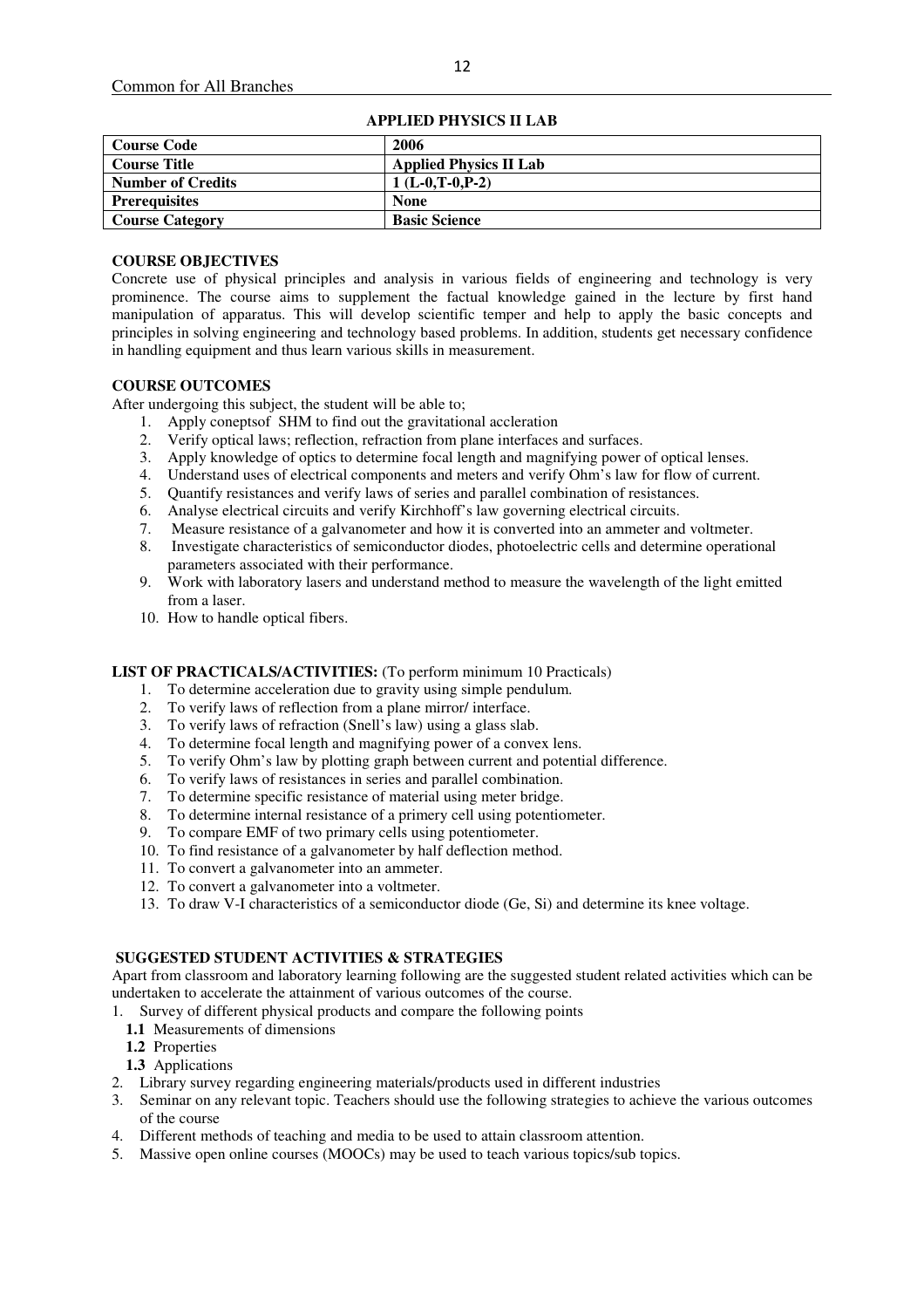| <b>Course Code</b>       | 2006                          |  |  |  |
|--------------------------|-------------------------------|--|--|--|
| <b>Course Title</b>      | <b>Applied Physics II Lab</b> |  |  |  |
| <b>Number of Credits</b> | $1(L-0,T-0.P-2)$              |  |  |  |
| <b>Prerequisites</b>     | <b>None</b>                   |  |  |  |
| <b>Course Category</b>   | <b>Basic Science</b>          |  |  |  |

#### **APPLIED PHYSICS II LAB**

#### **COURSE OBJECTIVES**

Concrete use of physical principles and analysis in various fields of engineering and technology is very prominence. The course aims to supplement the factual knowledge gained in the lecture by first hand manipulation of apparatus. This will develop scientific temper and help to apply the basic concepts and principles in solving engineering and technology based problems. In addition, students get necessary confidence in handling equipment and thus learn various skills in measurement.

## **COURSE OUTCOMES**

After undergoing this subject, the student will be able to;

- 1. Apply coneptsof SHM to find out the gravitational accleration
- 2. Verify optical laws; reflection, refraction from plane interfaces and surfaces.
- 3. Apply knowledge of optics to determine focal length and magnifying power of optical lenses.
- 4. Understand uses of electrical components and meters and verify Ohm's law for flow of current.
- 5. Quantify resistances and verify laws of series and parallel combination of resistances.
- 6. Analyse electrical circuits and verify Kirchhoff's law governing electrical circuits.
- 7. Measure resistance of a galvanometer and how it is converted into an ammeter and voltmeter.
- 8. Investigate characteristics of semiconductor diodes, photoelectric cells and determine operational parameters associated with their performance.
- 9. Work with laboratory lasers and understand method to measure the wavelength of the light emitted from a laser.
- 10. How to handle optical fibers.

#### **LIST OF PRACTICALS/ACTIVITIES:** (To perform minimum 10 Practicals)

- 1. To determine acceleration due to gravity using simple pendulum.
- 2. To verify laws of reflection from a plane mirror/ interface.
- 3. To verify laws of refraction (Snell's law) using a glass slab.
- 4. To determine focal length and magnifying power of a convex lens.
- 5. To verify Ohm's law by plotting graph between current and potential difference.
- 6. To verify laws of resistances in series and parallel combination.
- 7. To determine specific resistance of material using meter bridge.
- 8. To determine internal resistance of a primery cell using potentiometer.
- 9. To compare EMF of two primary cells using potentiometer.
- 10. To find resistance of a galvanometer by half deflection method.
- 11. To convert a galvanometer into an ammeter.
- 12. To convert a galvanometer into a voltmeter.
- 13. To draw V-I characteristics of a semiconductor diode (Ge, Si) and determine its knee voltage.

## **SUGGESTED STUDENT ACTIVITIES & STRATEGIES**

Apart from classroom and laboratory learning following are the suggested student related activities which can be undertaken to accelerate the attainment of various outcomes of the course.

- 1. Survey of different physical products and compare the following points
	- **1.1** Measurements of dimensions
	- **1.2** Properties
- **1.3** Applications
- 2. Library survey regarding engineering materials/products used in different industries
- 3. Seminar on any relevant topic. Teachers should use the following strategies to achieve the various outcomes of the course
- 4. Different methods of teaching and media to be used to attain classroom attention.
- 5. Massive open online courses (MOOCs) may be used to teach various topics/sub topics.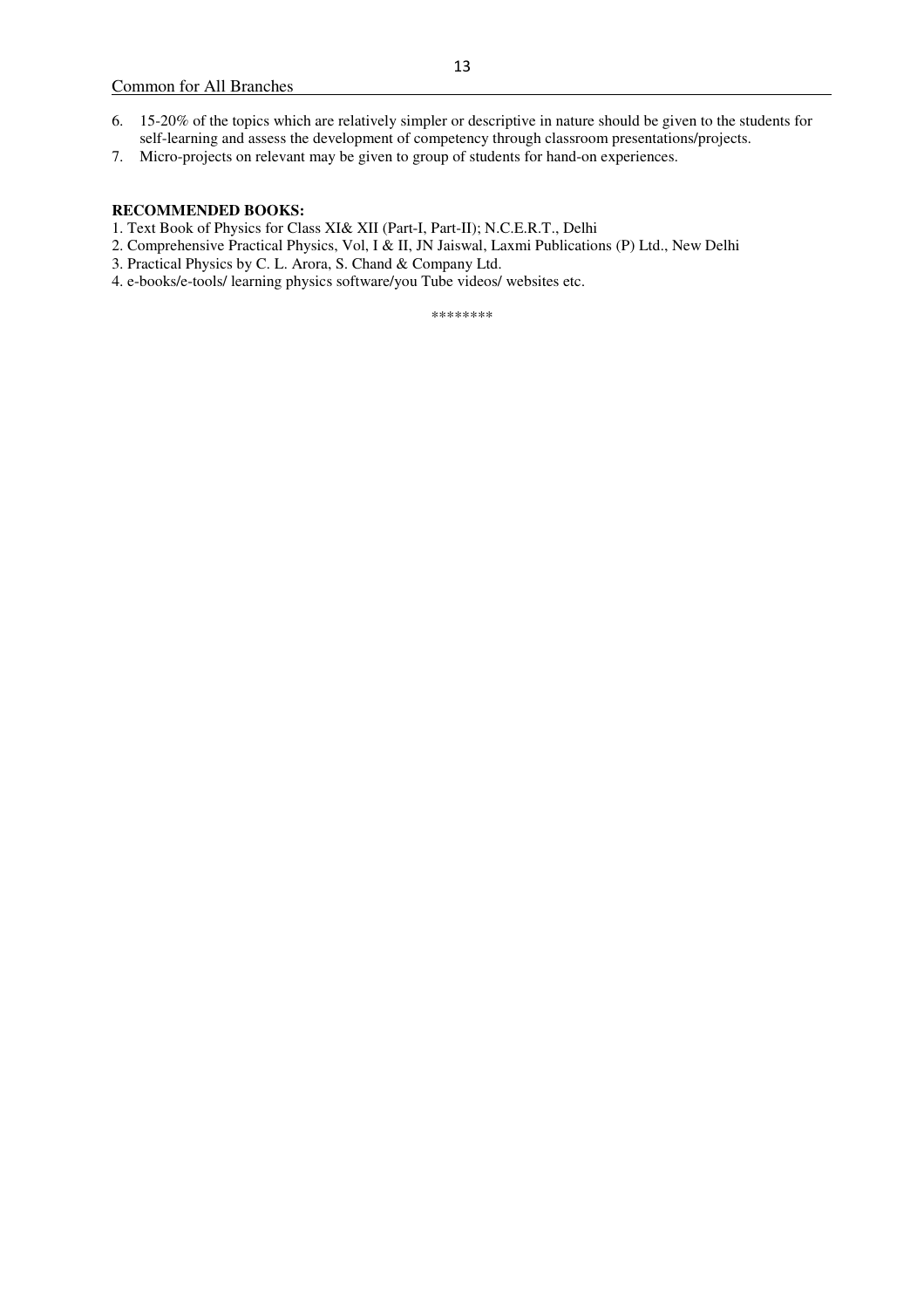- 6. 15-20% of the topics which are relatively simpler or descriptive in nature should be given to the students for self-learning and assess the development of competency through classroom presentations/projects.
- 7. Micro-projects on relevant may be given to group of students for hand-on experiences.

#### **RECOMMENDED BOOKS:**

- 1. Text Book of Physics for Class XI& XII (Part-I, Part-II); N.C.E.R.T., Delhi
- 2. Comprehensive Practical Physics, Vol, I & II, JN Jaiswal, Laxmi Publications (P) Ltd., New Delhi
- 3. Practical Physics by C. L. Arora, S. Chand & Company Ltd.
- 4. e-books/e-tools/ learning physics software/you Tube videos/ websites etc.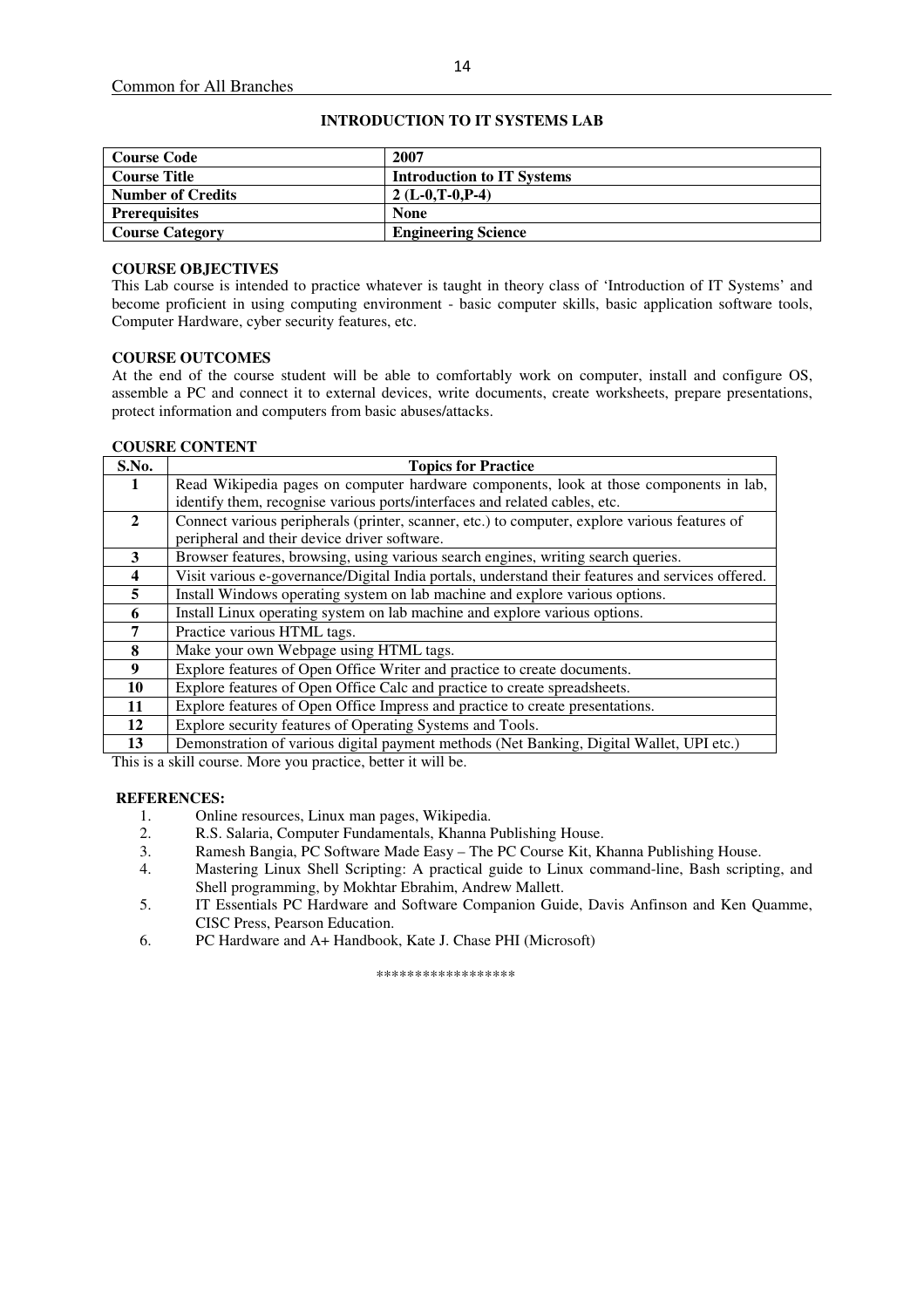| <b>Course Code</b>       | 2007                              |
|--------------------------|-----------------------------------|
| <b>Course Title</b>      | <b>Introduction to IT Systems</b> |
| <b>Number of Credits</b> | 2 (L-0,T-0,P-4)                   |
| <b>Prerequisites</b>     | <b>None</b>                       |
| <b>Course Category</b>   | <b>Engineering Science</b>        |

## **INTRODUCTION TO IT SYSTEMS LAB**

## **COURSE OBJECTIVES**

This Lab course is intended to practice whatever is taught in theory class of 'Introduction of IT Systems' and become proficient in using computing environment - basic computer skills, basic application software tools, Computer Hardware, cyber security features, etc.

## **COURSE OUTCOMES**

At the end of the course student will be able to comfortably work on computer, install and configure OS, assemble a PC and connect it to external devices, write documents, create worksheets, prepare presentations, protect information and computers from basic abuses/attacks.

#### **COUSRE CONTENT**

| S.No.        | <b>Topics for Practice</b>                                                                        |  |  |  |
|--------------|---------------------------------------------------------------------------------------------------|--|--|--|
| 1            | Read Wikipedia pages on computer hardware components, look at those components in lab,            |  |  |  |
|              | identify them, recognise various ports/interfaces and related cables, etc.                        |  |  |  |
| $\mathbf{2}$ | Connect various peripherals (printer, scanner, etc.) to computer, explore various features of     |  |  |  |
|              | peripheral and their device driver software.                                                      |  |  |  |
| 3            | Browser features, browsing, using various search engines, writing search queries.                 |  |  |  |
| 4            | Visit various e-governance/Digital India portals, understand their features and services offered. |  |  |  |
| 5            | Install Windows operating system on lab machine and explore various options.                      |  |  |  |
| 6            | Install Linux operating system on lab machine and explore various options.                        |  |  |  |
| 7            | Practice various HTML tags.                                                                       |  |  |  |
| 8            | Make your own Webpage using HTML tags.                                                            |  |  |  |
| 9            | Explore features of Open Office Writer and practice to create documents.                          |  |  |  |
| 10           | Explore features of Open Office Calc and practice to create spreadsheets.                         |  |  |  |
| 11           | Explore features of Open Office Impress and practice to create presentations.                     |  |  |  |
| 12           | Explore security features of Operating Systems and Tools.                                         |  |  |  |
| 13           | Demonstration of various digital payment methods (Net Banking, Digital Wallet, UPI etc.)          |  |  |  |

This is a skill course. More you practice, better it will be.

#### **REFERENCES:**

- 1. Online resources, Linux man pages, Wikipedia.<br>2. R.S. Salaria. Computer Fundamentals. Khanna l
- 2. R.S. Salaria, Computer Fundamentals, Khanna Publishing House.
- 3. Ramesh Bangia, PC Software Made Easy The PC Course Kit, Khanna Publishing House.
- 4. Mastering Linux Shell Scripting: A practical guide to Linux command-line, Bash scripting, and Shell programming, by Mokhtar Ebrahim, Andrew Mallett.
- 5. IT Essentials PC Hardware and Software Companion Guide, Davis Anfinson and Ken Quamme, CISC Press, Pearson Education.
- 6. PC Hardware and A+ Handbook, Kate J. Chase PHI (Microsoft)

\*\*\*\*\*\*\*\*\*\*\*\*\*\*\*\*\*\*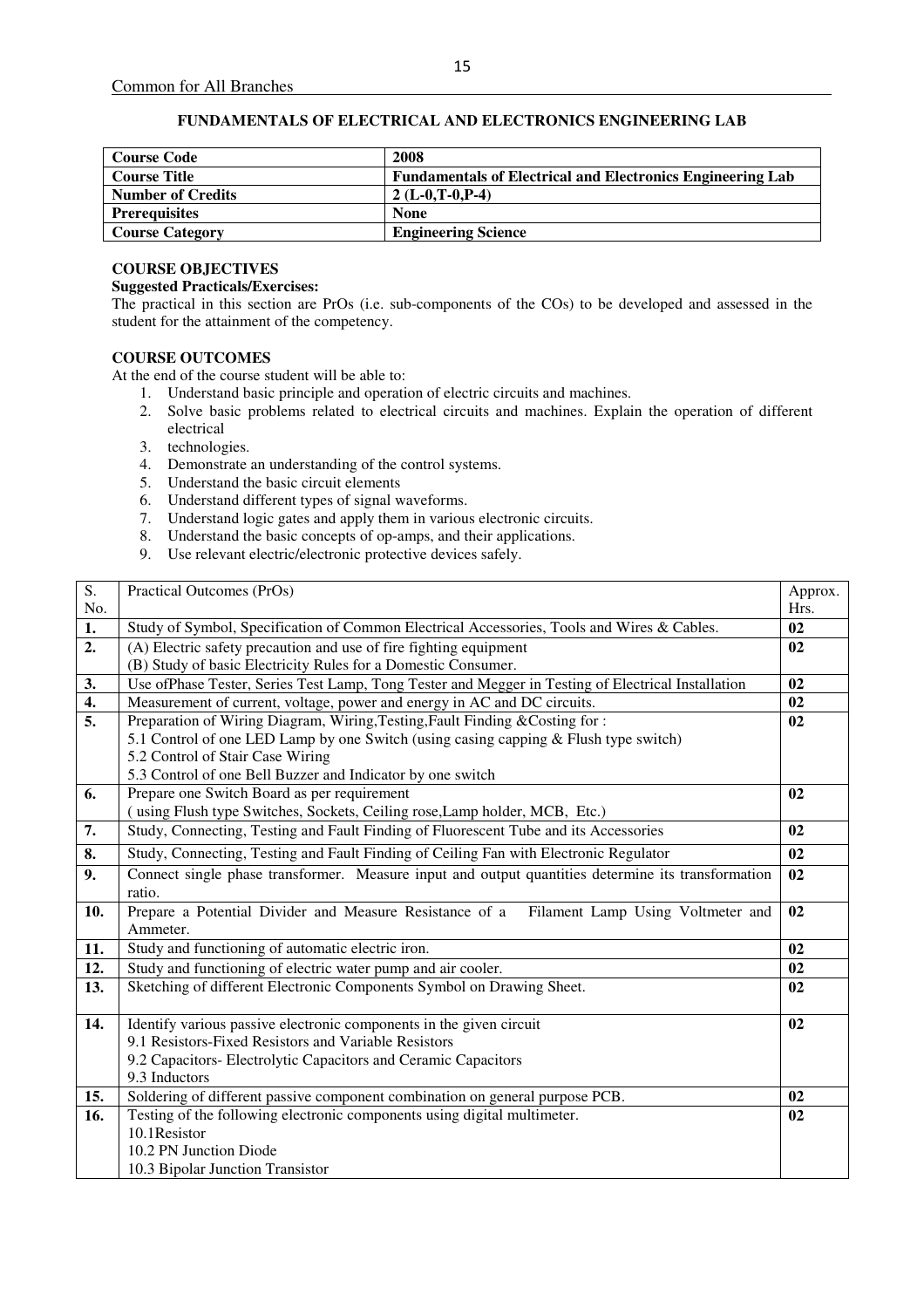## **FUNDAMENTALS OF ELECTRICAL AND ELECTRONICS ENGINEERING LAB**

| <b>Course Code</b>       | 2008                                                              |
|--------------------------|-------------------------------------------------------------------|
| <b>Course Title</b>      | <b>Fundamentals of Electrical and Electronics Engineering Lab</b> |
| <b>Number of Credits</b> | $2(L-0.T-0.P-4)$                                                  |
| <b>Prerequisites</b>     | <b>None</b>                                                       |
| <b>Course Category</b>   | <b>Engineering Science</b>                                        |

## **COURSE OBJECTIVES**

## **Suggested Practicals/Exercises:**

The practical in this section are PrOs (i.e. sub-components of the COs) to be developed and assessed in the student for the attainment of the competency.

#### **COURSE OUTCOMES**

At the end of the course student will be able to:

- 1. Understand basic principle and operation of electric circuits and machines.
- 2. Solve basic problems related to electrical circuits and machines. Explain the operation of different electrical
- 3. technologies.
- 4. Demonstrate an understanding of the control systems.
- 5. Understand the basic circuit elements
- 6. Understand different types of signal waveforms.
- 7. Understand logic gates and apply them in various electronic circuits.
- 8. Understand the basic concepts of op-amps, and their applications.
- 9. Use relevant electric/electronic protective devices safely.

| $\overline{S}$ .  | Practical Outcomes (PrOs)                                                                          | Approx. |
|-------------------|----------------------------------------------------------------------------------------------------|---------|
| No.               |                                                                                                    | Hrs.    |
| $\overline{1}$ .  | Study of Symbol, Specification of Common Electrical Accessories, Tools and Wires & Cables.         | 02      |
| 2.                | (A) Electric safety precaution and use of fire fighting equipment                                  | 02      |
|                   | (B) Study of basic Electricity Rules for a Domestic Consumer.                                      |         |
| 3.                | Use ofPhase Tester, Series Test Lamp, Tong Tester and Megger in Testing of Electrical Installation | 02      |
| 4.                | Measurement of current, voltage, power and energy in AC and DC circuits.                           | 02      |
| 5.                | Preparation of Wiring Diagram, Wiring, Testing, Fault Finding & Costing for:                       | 02      |
|                   | 5.1 Control of one LED Lamp by one Switch (using casing capping & Flush type switch)               |         |
|                   | 5.2 Control of Stair Case Wiring                                                                   |         |
|                   | 5.3 Control of one Bell Buzzer and Indicator by one switch                                         |         |
| 6.                | Prepare one Switch Board as per requirement                                                        | 02      |
|                   | (using Flush type Switches, Sockets, Ceiling rose, Lamp holder, MCB, Etc.)                         |         |
| 7.                | Study, Connecting, Testing and Fault Finding of Fluorescent Tube and its Accessories               | 02      |
| 8.                | Study, Connecting, Testing and Fault Finding of Ceiling Fan with Electronic Regulator              | 02      |
| 9.                | Connect single phase transformer. Measure input and output quantities determine its transformation | 02      |
|                   | ratio.                                                                                             |         |
| 10.               | Prepare a Potential Divider and Measure Resistance of a Filament Lamp Using Voltmeter and          | 02      |
|                   | Ammeter.                                                                                           |         |
| 11.               | Study and functioning of automatic electric iron.                                                  | 02      |
| 12.               | Study and functioning of electric water pump and air cooler.                                       | 02      |
| $\overline{13}$ . | Sketching of different Electronic Components Symbol on Drawing Sheet.                              | 02      |
|                   |                                                                                                    |         |
| 14.               | Identify various passive electronic components in the given circuit                                | 02      |
|                   | 9.1 Resistors-Fixed Resistors and Variable Resistors                                               |         |
|                   | 9.2 Capacitors- Electrolytic Capacitors and Ceramic Capacitors                                     |         |
|                   | 9.3 Inductors                                                                                      |         |
| 15.               | Soldering of different passive component combination on general purpose PCB.                       | 02      |
| 16.               | Testing of the following electronic components using digital multimeter.                           | 02      |
|                   | 10.1Resistor                                                                                       |         |
|                   | 10.2 PN Junction Diode                                                                             |         |
|                   | 10.3 Bipolar Junction Transistor                                                                   |         |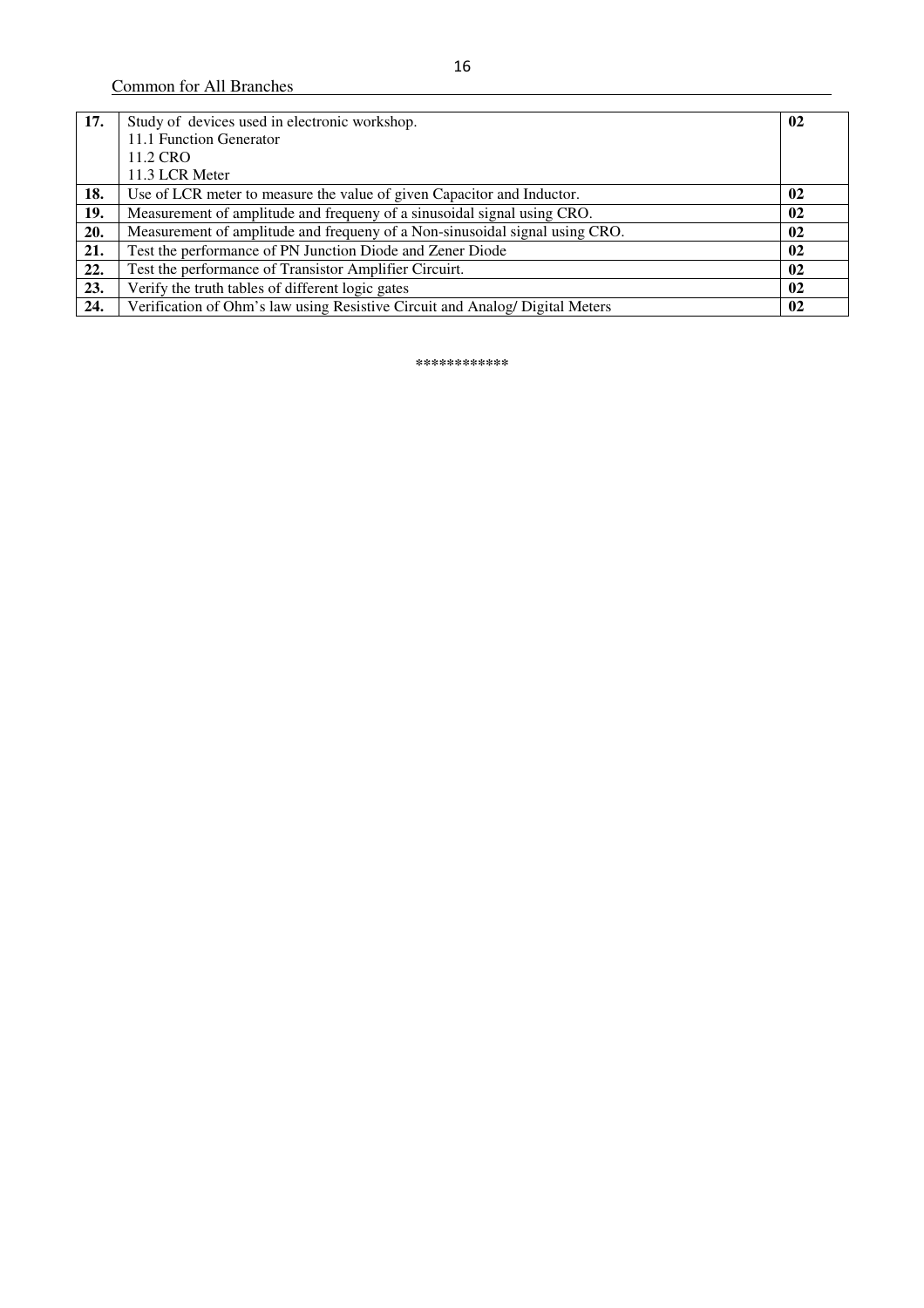| 17. | Study of devices used in electronic workshop.                                | 02            |
|-----|------------------------------------------------------------------------------|---------------|
|     | 11.1 Function Generator                                                      |               |
|     | 11.2 CRO                                                                     |               |
|     | 11.3 LCR Meter                                                               |               |
| 18. | Use of LCR meter to measure the value of given Capacitor and Inductor.       | $\mathbf{02}$ |
| 19. | Measurement of amplitude and frequeny of a sinusoidal signal using CRO.      | 02            |
| 20. | Measurement of amplitude and frequeny of a Non-sinusoidal signal using CRO.  | 02            |
| 21. | Test the performance of PN Junction Diode and Zener Diode                    | 02            |
| 22. | Test the performance of Transistor Amplifier Circuirt.                       | 02            |
| 23. | Verify the truth tables of different logic gates                             | 02            |
| 24. | Verification of Ohm's law using Resistive Circuit and Analog/ Digital Meters | 02            |

**\*\*\*\*\*\*\*\*\*\*\*\***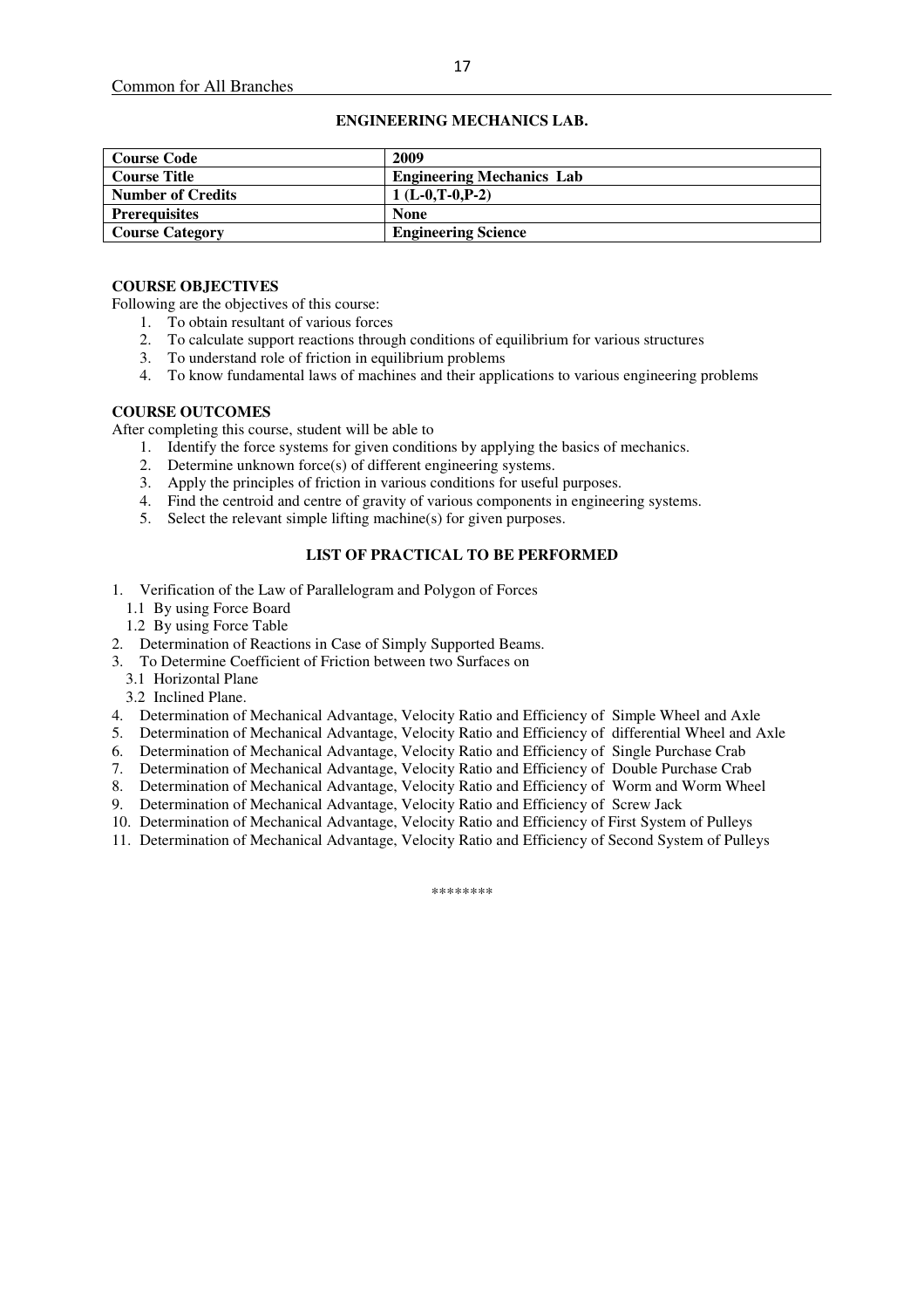#### **ENGINEERING MECHANICS LAB.**

| <b>Course Code</b>       | 2009                             |
|--------------------------|----------------------------------|
| <b>Course Title</b>      | <b>Engineering Mechanics Lab</b> |
| <b>Number of Credits</b> | $1(L-0.T-0.P-2)$                 |
| <b>Prerequisites</b>     | <b>None</b>                      |
| <b>Course Category</b>   | <b>Engineering Science</b>       |

#### **COURSE OBJECTIVES**

Following are the objectives of this course:

- 1. To obtain resultant of various forces
- 2. To calculate support reactions through conditions of equilibrium for various structures
- 3. To understand role of friction in equilibrium problems
- 4. To know fundamental laws of machines and their applications to various engineering problems

#### **COURSE OUTCOMES**

After completing this course, student will be able to

- 1. Identify the force systems for given conditions by applying the basics of mechanics.
- 2. Determine unknown force(s) of different engineering systems.
- 3. Apply the principles of friction in various conditions for useful purposes.
- 4. Find the centroid and centre of gravity of various components in engineering systems.
- 5. Select the relevant simple lifting machine(s) for given purposes.

## **LIST OF PRACTICAL TO BE PERFORMED**

- 1. Verification of the Law of Parallelogram and Polygon of Forces
	- 1.1 By using Force Board
	- 1.2 By using Force Table
- 2. Determination of Reactions in Case of Simply Supported Beams.
- 3. To Determine Coefficient of Friction between two Surfaces on
	- 3.1 Horizontal Plane
	- 3.2 Inclined Plane.
- 4. Determination of Mechanical Advantage, Velocity Ratio and Efficiency of Simple Wheel and Axle
- 5. Determination of Mechanical Advantage, Velocity Ratio and Efficiency of differential Wheel and Axle
- 6. Determination of Mechanical Advantage, Velocity Ratio and Efficiency of Single Purchase Crab
- 7. Determination of Mechanical Advantage, Velocity Ratio and Efficiency of Double Purchase Crab
- 8. Determination of Mechanical Advantage, Velocity Ratio and Efficiency of Worm and Worm Wheel
- 9. Determination of Mechanical Advantage, Velocity Ratio and Efficiency of Screw Jack
- 10. Determination of Mechanical Advantage, Velocity Ratio and Efficiency of First System of Pulleys
- 11. Determination of Mechanical Advantage, Velocity Ratio and Efficiency of Second System of Pulleys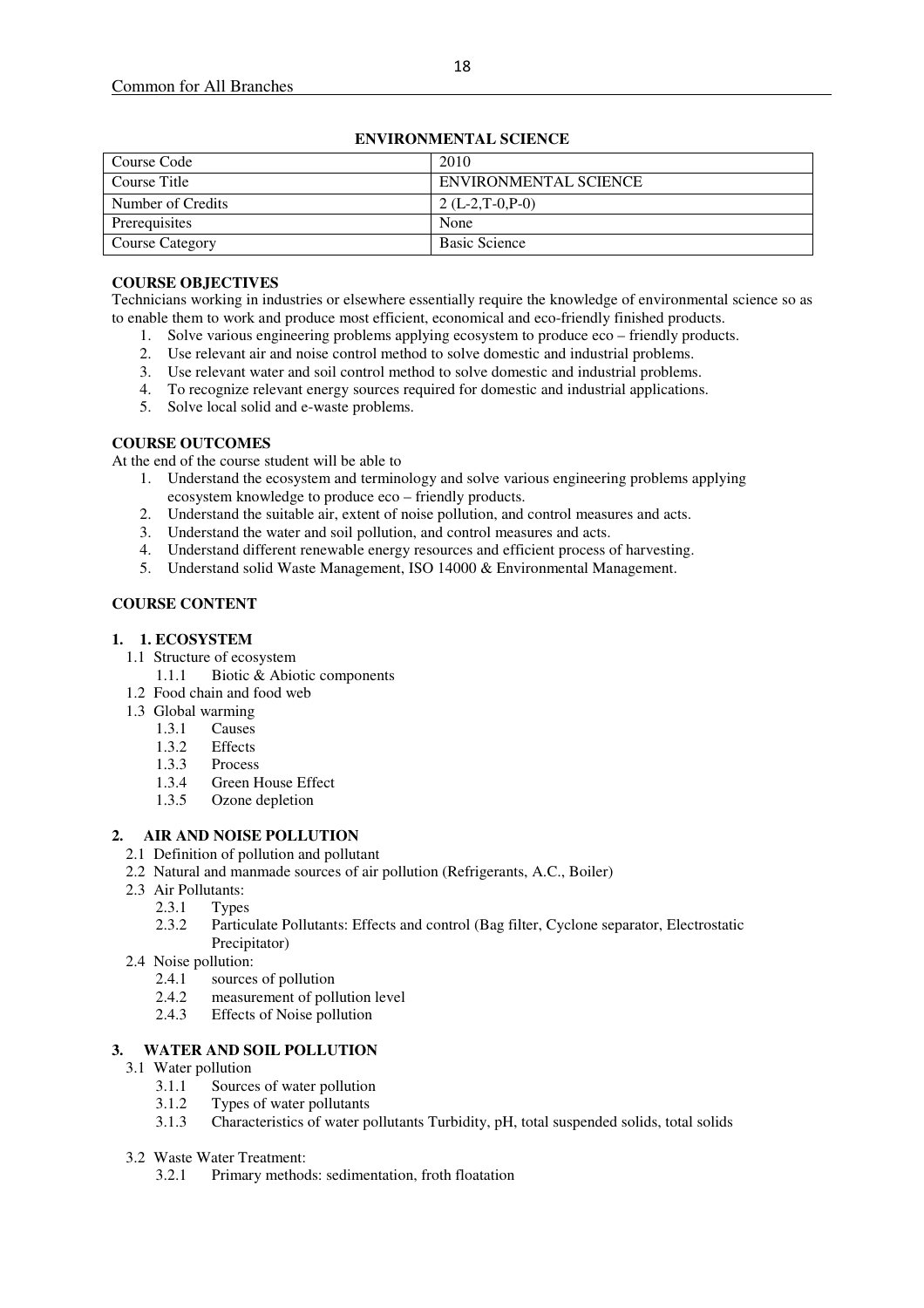| Course Code            | 2010                  |
|------------------------|-----------------------|
| Course Title           | ENVIRONMENTAL SCIENCE |
| Number of Credits      | $2(L-2,T-0,P-0)$      |
| Prerequisites          | None                  |
| <b>Course Category</b> | <b>Basic Science</b>  |

## **ENVIRONMENTAL SCIENCE**

## **COURSE OBJECTIVES**

Technicians working in industries or elsewhere essentially require the knowledge of environmental science so as to enable them to work and produce most efficient, economical and eco-friendly finished products.

- 1. Solve various engineering problems applying ecosystem to produce eco friendly products.
- 2. Use relevant air and noise control method to solve domestic and industrial problems.
- 3. Use relevant water and soil control method to solve domestic and industrial problems.
- 4. To recognize relevant energy sources required for domestic and industrial applications.
- 5. Solve local solid and e-waste problems.

## **COURSE OUTCOMES**

At the end of the course student will be able to

- 1. Understand the ecosystem and terminology and solve various engineering problems applying ecosystem knowledge to produce eco – friendly products.<br>Understand the suitable air, extent of noise pollution, and control measures and acts.
- 2. Understand the suitable air, extent of noise pollution, and control measures and acts.
- 3. Understand the water and soil pollution, and control measures and acts.
- 4. Understand different renewable energy resources and efficient process of harvesting.
- 5. Understand solid Waste Management, ISO 14000 & Environmental Management.

# **COURSE CONTENT**

## **1. 1. ECOSYSTEM**

- 1.1 Structure of ecosystem
	- 1.1.1 Biotic & Abiotic components
- 1.2 Food chain and food web
- 1.3 Global warming
	- 1.3.1 Causes
	- 1.3.2 Effects
	- 1.3.3 Process<br>1.3.4 Green H
	- Green House Effect
	- 1.3.5 Ozone depletion

## **2. AIR AND NOISE POLLUTION**

- 2.1 Definition of pollution and pollutant
- 2.2 Natural and manmade sources of air pollution (Refrigerants, A.C., Boiler)
- 2.3 Air Pollutants:
	- 2.3.1 Types
	- 2.3.2 Particulate Pollutants: Effects and control (Bag filter, Cyclone separator, Electrostatic Precipitator)
- 2.4 Noise pollution:
	- 2.4.1 sources of pollution<br>2.4.2 measurement of poll
	- 2.4.2 measurement of pollution level<br>2.4.3 Effects of Noise pollution
	- Effects of Noise pollution

## **3. WATER AND SOIL POLLUTION**

- 3.1 Water pollution
	- 3.1.1 Sources of water pollution
	- 3.1.2 Types of water pollutants
	- 3.1.3 Characteristics of water pollutants Turbidity, pH, total suspended solids, total solids
- 3.2 Waste Water Treatment:
	- 3.2.1 Primary methods: sedimentation, froth floatation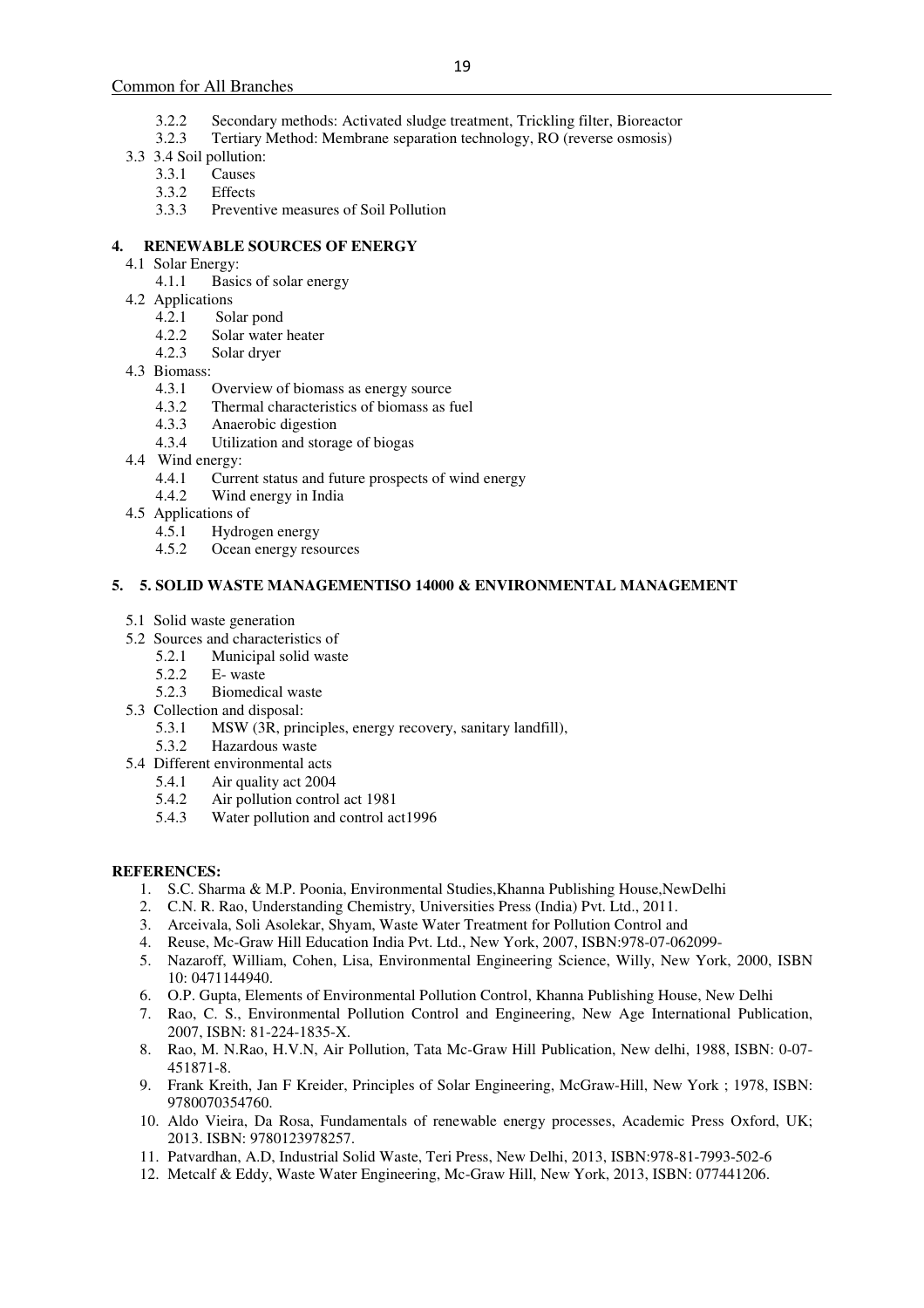- 3.2.2 Secondary methods: Activated sludge treatment, Trickling filter, Bioreactor
- 3.2.3 Tertiary Method: Membrane separation technology, RO (reverse osmosis)
- 3.3 3.4 Soil pollution:
	- 3.3.1 Causes
	- 3.3.2 Effects
	- 3.3.3 Preventive measures of Soil Pollution

## **4. RENEWABLE SOURCES OF ENERGY**

- 4.1 Solar Energy:
	- 4.1.1 Basics of solar energy
- 4.2 Applications
	- 4.2.1 Solar pond
	- 4.2.2 Solar water heater<br>4.2.3 Solar dryer
	- Solar dryer
- 4.3 Biomass:<br>4.3.1
	- 4.3.1 Overview of biomass as energy source<br>4.3.2 Thermal characteristics of biomass as f
	- Thermal characteristics of biomass as fuel
	- 4.3.3 Anaerobic digestion
	- 4.3.4 Utilization and storage of biogas
- 4.4 Wind energy:
	- 4.4.1 Current status and future prospects of wind energy
	- 4.4.2 Wind energy in India
- 4.5 Applications of
	- 4.5.1 Hydrogen energy
	- 4.5.2 Ocean energy resources

## **5. 5. SOLID WASTE MANAGEMENTISO 14000 & ENVIRONMENTAL MANAGEMENT**

- 5.1 Solid waste generation
- 5.2 Sources and characteristics of
	- 5.2.1 Municipal solid waste
	- 5.2.2 E- waste
	- 5.2.3 Biomedical waste
- 5.3 Collection and disposal:
	- 5.3.1 MSW (3R, principles, energy recovery, sanitary landfill),
	- 5.3.2 Hazardous waste
- 5.4 Different environmental acts
	- 5.4.1 Air quality act 2004
	- 5.4.2 Air pollution control act 1981
	- 5.4.3 Water pollution and control act1996

## **REFERENCES:**

- 1. S.C. Sharma & M.P. Poonia, Environmental Studies, Khanna Publishing House, NewDelhi
- 2. C.N. R. Rao, Understanding Chemistry, Universities Press (India) Pvt. Ltd., 2011.
- 3. Arceivala, Soli Asolekar, Shyam, Waste Water Treatment for Pollution Control and
- 4. Reuse, Mc-Graw Hill Education India Pvt. Ltd., New York, 2007, ISBN:978-07-062099-
- 5. Nazaroff, William, Cohen, Lisa, Environmental Engineering Science, Willy, New York, 2000, ISBN 10: 0471144940.
- 6. O.P. Gupta, Elements of Environmental Pollution Control, Khanna Publishing House, New Delhi
- 7. Rao, C. S., Environmental Pollution Control and Engineering, New Age International Publication, 2007, ISBN: 81-224-1835-X.
- 8. Rao, M. N.Rao, H.V.N, Air Pollution, Tata Mc-Graw Hill Publication, New delhi, 1988, ISBN: 0-07- 451871-8.
- 9. Frank Kreith, Jan F Kreider, Principles of Solar Engineering, McGraw-Hill, New York ; 1978, ISBN: 9780070354760.
- 10. Aldo Vieira, Da Rosa, Fundamentals of renewable energy processes, Academic Press Oxford, UK; 2013. ISBN: 9780123978257.
- 11. Patvardhan, A.D, Industrial Solid Waste, Teri Press, New Delhi, 2013, ISBN:978-81-7993-502-6
- 12. Metcalf & Eddy, Waste Water Engineering, Mc-Graw Hill, New York, 2013, ISBN: 077441206.